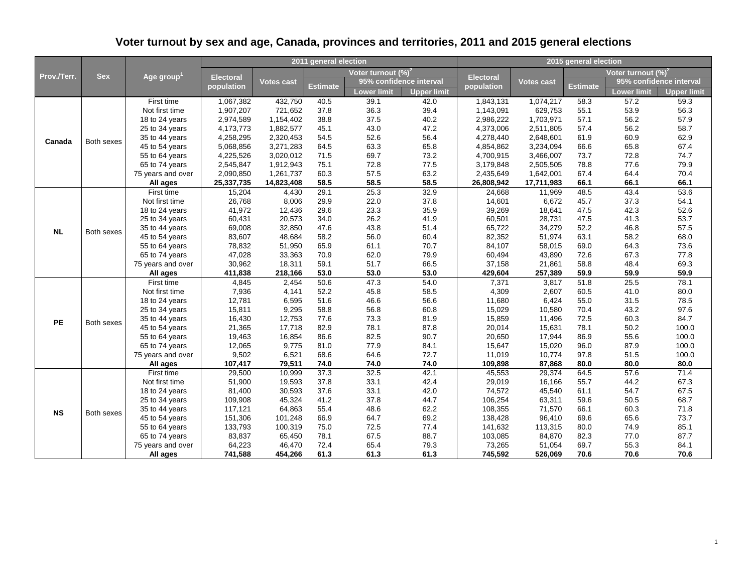| Prov./Terr. |            |                           |                  |            | 2011 general election |                        |                         | 2015 general election |            |          |                                |                    |
|-------------|------------|---------------------------|------------------|------------|-----------------------|------------------------|-------------------------|-----------------------|------------|----------|--------------------------------|--------------------|
|             | <b>Sex</b> |                           |                  |            |                       | Voter turnout $(\%)^2$ |                         |                       |            |          | Voter turnout (%) <sup>2</sup> |                    |
|             |            | Age group $^{\mathsf{1}}$ | <b>Electoral</b> | Votes cast |                       |                        | 95% confidence interval | <b>Electoral</b>      | Votes cast |          | 95% confidence interval        |                    |
|             |            |                           | population       |            | <b>Estimate</b>       | <b>Lower limit</b>     | <b>Upper limit</b>      | population            |            | Estimate | Lower limit                    | <b>Upper limit</b> |
|             |            | First time                | 1,067,382        | 432,750    | 40.5                  | 39.1                   | 42.0                    | 1,843,131             | 1,074,217  | 58.3     | 57.2                           | 59.3               |
|             |            | Not first time            | 1,907,207        | 721.652    | 37.8                  | 36.3                   | 39.4                    | 1,143,091             | 629,753    | 55.1     | 53.9                           | 56.3               |
|             |            | 18 to 24 years            | 2,974,589        | 1,154,402  | 38.8                  | 37.5                   | 40.2                    | 2,986,222             | 1,703,971  | 57.1     | 56.2                           | 57.9               |
|             |            | 25 to 34 years            | 4,173,773        | 1,882,577  | 45.1                  | 43.0                   | 47.2                    | 4,373,006             | 2,511,805  | 57.4     | 56.2                           | 58.7               |
| Canada      | Both sexes | 35 to 44 years            | 4,258,295        | 2,320,453  | 54.5                  | 52.6                   | 56.4                    | 4,278,440             | 2,648,601  | 61.9     | 60.9                           | 62.9               |
|             |            | 45 to 54 years            | 5,068,856        | 3,271,283  | 64.5                  | 63.3                   | 65.8                    | 4,854,862             | 3,234,094  | 66.6     | 65.8                           | 67.4               |
|             |            | 55 to 64 years            | 4,225,526        | 3,020,012  | 71.5                  | 69.7                   | 73.2                    | 4,700,915             | 3,466,007  | 73.7     | 72.8                           | 74.7               |
|             |            | 65 to 74 years            | 2,545,847        | 1,912,943  | 75.1                  | 72.8                   | 77.5                    | 3,179,848             | 2,505,505  | 78.8     | 77.6                           | 79.9               |
|             |            | 75 years and over         | 2,090,850        | 1,261,737  | 60.3                  | 57.5                   | 63.2                    | 2,435,649             | 1,642,001  | 67.4     | 64.4                           | 70.4               |
|             |            | All ages                  | 25,337,735       | 14,823,408 | 58.5                  | 58.5                   | 58.5                    | 26,808,942            | 17,711,983 | 66.1     | 66.1                           | 66.1               |
|             |            | First time                | 15,204           | 4,430      | 29.1                  | 25.3                   | 32.9                    | 24,668                | 11,969     | 48.5     | 43.4                           | 53.6               |
|             |            | Not first time            | 26,768           | 8,006      | 29.9                  | 22.0                   | 37.8                    | 14,601                | 6,672      | 45.7     | 37.3                           | 54.1               |
|             |            | 18 to 24 years            | 41,972           | 12,436     | 29.6                  | 23.3                   | 35.9                    | 39,269                | 18,641     | 47.5     | 42.3                           | 52.6               |
| <b>NL</b>   | Both sexes | 25 to 34 years            | 60,431           | 20,573     | 34.0                  | 26.2                   | 41.9                    | 60,501                | 28,731     | 47.5     | 41.3                           | 53.7               |
|             |            | 35 to 44 years            | 69,008           | 32,850     | 47.6                  | 43.8                   | 51.4                    | 65,722                | 34,279     | 52.2     | 46.8                           | 57.5               |
|             |            | 45 to 54 years            | 83,607           | 48,684     | 58.2                  | 56.0                   | 60.4                    | 82,352                | 51,974     | 63.1     | 58.2                           | 68.0               |
|             |            | 55 to 64 years            | 78,832           | 51,950     | 65.9                  | 61.1                   | 70.7                    | 84,107                | 58,015     | 69.0     | 64.3                           | 73.6               |
|             |            | 65 to 74 years            | 47,028           | 33,363     | 70.9                  | 62.0                   | 79.9                    | 60,494                | 43,890     | 72.6     | 67.3                           | 77.8               |
|             |            | 75 years and over         | 30,962           | 18,311     | 59.1                  | 51.7                   | 66.5                    | 37,158                | 21,861     | 58.8     | 48.4                           | 69.3               |
|             |            | All ages                  | 411,838          | 218,166    | 53.0                  | 53.0                   | 53.0                    | 429,604               | 257,389    | 59.9     | 59.9                           | 59.9               |
|             |            | First time                | 4,845            | 2,454      | 50.6                  | 47.3                   | 54.0                    | 7,371                 | 3,817      | 51.8     | 25.5                           | 78.1               |
|             |            | Not first time            | 7,936            | 4,141      | 52.2                  | 45.8                   | 58.5                    | 4,309                 | 2,607      | 60.5     | 41.0                           | 80.0               |
|             |            | 18 to 24 years            | 12,781           | 6,595      | 51.6                  | 46.6                   | 56.6                    | 11,680                | 6,424      | 55.0     | 31.5                           | 78.5               |
|             |            | 25 to 34 years            | 15,811           | 9,295      | 58.8                  | 56.8                   | 60.8                    | 15,029                | 10,580     | 70.4     | 43.2                           | 97.6               |
| PE          | Both sexes | 35 to 44 years            | 16,430           | 12,753     | 77.6                  | 73.3                   | 81.9                    | 15,859                | 11,496     | 72.5     | 60.3                           | 84.7               |
|             |            | 45 to 54 years            | 21,365           | 17,718     | 82.9                  | 78.1                   | 87.8                    | 20,014                | 15,631     | 78.1     | 50.2                           | 100.0              |
|             |            | 55 to 64 years            | 19,463           | 16,854     | 86.6                  | 82.5                   | 90.7                    | 20,650                | 17,944     | 86.9     | 55.6                           | 100.0              |
|             |            | 65 to 74 years            | 12,065           | 9,775      | 81.0                  | 77.9                   | 84.1                    | 15,647                | 15,020     | 96.0     | 87.9                           | 100.0              |
|             |            | 75 years and over         | 9,502            | 6,521      | 68.6                  | 64.6                   | 72.7                    | 11,019                | 10,774     | 97.8     | 51.5                           | 100.0              |
|             |            | All ages                  | 107,417          | 79,511     | 74.0                  | 74.0                   | 74.0                    | 109,898               | 87,868     | 80.0     | 80.0                           | 80.0               |
|             |            | First time                | 29,500           | 10,999     | 37.3                  | 32.5                   | 42.1                    | 45,553                | 29,374     | 64.5     | 57.6                           | 71.4               |
|             |            | Not first time            | 51,900           | 19,593     | 37.8                  | 33.1                   | 42.4                    | 29,019                | 16,166     | 55.7     | 44.2                           | 67.3               |
|             |            | 18 to 24 years            | 81,400           | 30,593     | 37.6                  | 33.1                   | 42.0                    | 74,572                | 45,540     | 61.1     | 54.7                           | 67.5               |
|             |            | 25 to 34 years            | 109,908          | 45,324     | 41.2                  | 37.8                   | 44.7                    | 106,254               | 63,311     | 59.6     | 50.5                           | 68.7               |
| <b>NS</b>   | Both sexes | 35 to 44 years            | 117,121          | 64,863     | 55.4                  | 48.6                   | 62.2                    | 108,355               | 71,570     | 66.1     | 60.3                           | 71.8               |
|             |            | 45 to 54 years            | 151,306          | 101,248    | 66.9                  | 64.7                   | 69.2                    | 138,428               | 96,410     | 69.6     | 65.6                           | 73.7               |
|             |            | 55 to 64 years            | 133,793          | 100,319    | 75.0                  | 72.5                   | 77.4                    | 141,632               | 113,315    | 80.0     | 74.9                           | 85.1               |
|             |            | 65 to 74 years            | 83,837           | 65.450     | 78.1                  | 67.5                   | 88.7                    | 103,085               | 84,870     | 82.3     | 77.0                           | 87.7               |
|             |            | 75 years and over         | 64,223           | 46,470     | 72.4                  | 65.4                   | 79.3                    | 73,265                | 51,054     | 69.7     | 55.3                           | 84.1               |
|             |            | All ages                  | 741,588          | 454,266    | 61.3                  | 61.3                   | 61.3                    | 745,592               | 526,069    | 70.6     | 70.6                           | 70.6               |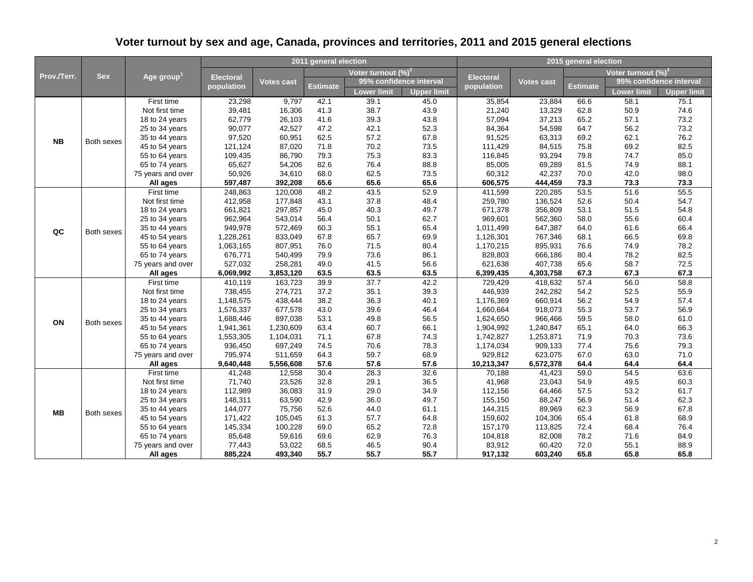| Prov./Terr. |            |                                     |                    |                    | 2011 general election |                        |                         | 2015 general election                                                                                                                                                                                                |                    |              |                         |                    |  |
|-------------|------------|-------------------------------------|--------------------|--------------------|-----------------------|------------------------|-------------------------|----------------------------------------------------------------------------------------------------------------------------------------------------------------------------------------------------------------------|--------------------|--------------|-------------------------|--------------------|--|
|             | <b>Sex</b> |                                     |                    |                    |                       | Voter turnout $(\%)^2$ |                         |                                                                                                                                                                                                                      |                    |              | Voter turnout $(\%)^2$  |                    |  |
|             |            | Age group $^{\rm 1}$                | <b>Electoral</b>   | <b>Votes cast</b>  |                       |                        | 95% confidence interval | <b>Electoral</b>                                                                                                                                                                                                     | Votes cast         |              | 95% confidence interval |                    |  |
|             |            |                                     | population         |                    | <b>Estimate</b>       | Lower limit            | <b>Upper limit</b>      | population                                                                                                                                                                                                           |                    | Estimate     | Lower limit             | <b>Upper limit</b> |  |
|             |            | First time                          | 23,298             | 9,797              | 42.1                  | 39.1                   | 45.0                    | 35,854                                                                                                                                                                                                               | 23,884             | 66.6         | 58.1                    | 75.1               |  |
|             |            | Not first time                      | 39,481             | 16,306             | 41.3                  | 38.7                   | 43.9                    | 21,240                                                                                                                                                                                                               | 13,329             | 62.8         | 50.9                    | 74.6               |  |
|             |            | 18 to 24 years                      | 62,779             | 26,103             | 41.6                  | 39.3                   | 43.8                    | 57,094                                                                                                                                                                                                               | 37,213             | 65.2         | 57.1                    | 73.2               |  |
|             |            | 25 to 34 years                      | 90,077             | 42,527             | 47.2                  | 42.1                   | 52.3                    | 84,364                                                                                                                                                                                                               | 54,598             | 64.7         | 56.2                    | 73.2               |  |
| <b>NB</b>   | Both sexes | 35 to 44 years                      | 97,520             | 60,951             | 62.5                  | 57.2                   | 67.8                    | 91,525                                                                                                                                                                                                               | 63,313             | 69.2         | 62.1                    | 76.2               |  |
|             |            | 45 to 54 years                      | 121,124            | 87,020             | 71.8                  | 70.2                   | 73.5                    | 111,429                                                                                                                                                                                                              | 84,515             | 75.8         | 69.2                    | 82.5               |  |
|             |            | 55 to 64 years                      | 109,435            | 86,790             | 79.3                  | 75.3                   | 83.3                    | 116,845                                                                                                                                                                                                              | 93,294             | 79.8         | 74.7                    | 85.0               |  |
|             |            | 65 to 74 years                      | 65,627             | 54,206             | 82.6                  | 76.4                   | 88.8                    | 85,005                                                                                                                                                                                                               | 69,289             | 81.5         | 74.9                    | 88.1               |  |
|             |            | 75 years and over                   | 50,926             | 34,610             | 68.0                  | 62.5                   | 73.5                    | 60,312                                                                                                                                                                                                               | 42,237             | 70.0         | 42.0                    | 98.0               |  |
|             |            | All ages                            | 597,487            | 392,208            | 65.6                  | 65.6                   | 65.6                    | 606,575                                                                                                                                                                                                              | 444,459            | 73.3         | 73.3                    | 73.3               |  |
|             |            | First time                          | 248,863            | 120,008            | 48.2                  | 43.5                   | 52.9                    | 411,599                                                                                                                                                                                                              | 220,285            | 53.5         | 51.6                    | 55.5               |  |
|             |            | Not first time                      | 412,958            | 177,848            | 43.1                  | 37.8                   | 48.4                    | 259,780                                                                                                                                                                                                              | 136,524            | 52.6         | 50.4                    | 54.7               |  |
|             | Both sexes | 18 to 24 years                      | 661,821            | 297,857            | 45.0                  | 40.3                   | 49.7                    |                                                                                                                                                                                                                      |                    |              | 51.5                    | 54.8               |  |
| QC          |            | 25 to 34 years                      | 962,964            | 543,014            | 56.4                  | 50.1                   | 62.7                    | 53.1<br>671,378<br>356,809<br>969,601<br>562,360<br>58.0<br>647,387<br>64.0<br>1,011,499<br>68.1<br>1,126,301<br>767,346<br>1,170,215<br>895,931<br>76.6<br>828,803<br>666,186<br>80.4<br>65.6<br>621,638<br>407,738 | 55.6               | 60.4         |                         |                    |  |
|             |            | 35 to 44 years                      | 949,978            | 572,469            | 60.3                  | 55.1                   | 65.4                    |                                                                                                                                                                                                                      |                    |              | 61.6                    | 66.4               |  |
|             |            | 45 to 54 years                      | 1,228,261          | 833,049            | 67.8                  | 65.7                   | 69.9                    |                                                                                                                                                                                                                      |                    |              | 66.5                    | 69.8               |  |
|             |            | 55 to 64 years                      | 1,063,165          | 807,951            | 76.0                  | 71.5                   | 80.4                    |                                                                                                                                                                                                                      |                    |              | 74.9                    | 78.2               |  |
|             |            | 65 to 74 years                      | 676,771            | 540,499            | 79.9                  | 73.6                   | 86.1                    |                                                                                                                                                                                                                      |                    |              | 78.2                    | 82.5               |  |
|             |            | 75 years and over                   | 527,032            | 258,281            | 49.0                  | 41.5                   | 56.6                    |                                                                                                                                                                                                                      |                    |              | 58.7                    | 72.5               |  |
|             |            | All ages                            | 6,069,992          | 3,853,120          | 63.5                  | 63.5                   | 63.5                    | 6,399,435                                                                                                                                                                                                            | 4,303,758          | 67.3         | 67.3                    | 67.3               |  |
|             |            | First time                          | 410,119            | 163,723            | 39.9                  | 37.7                   | 42.2                    | 729,429                                                                                                                                                                                                              | 418,632            | 57.4         | 56.0                    | 58.8               |  |
|             |            | Not first time                      | 738,455            | 274,721            | 37.2                  | 35.1                   | 39.3                    | 446,939                                                                                                                                                                                                              | 242,282            | 54.2         | 52.5                    | 55.9               |  |
|             |            | 18 to 24 years                      | 1,148,575          | 438,444            | 38.2                  | 36.3                   | 40.1                    | 1,176,369                                                                                                                                                                                                            | 660,914            | 56.2         | 54.9                    | 57.4               |  |
|             |            | 25 to 34 years                      | 1,576,337          | 677,578            | 43.0                  | 39.6                   | 46.4                    | 1,660,664                                                                                                                                                                                                            | 918,073            | 55.3         | 53.7                    | 56.9               |  |
| ON          | Both sexes | 35 to 44 years                      | 1,688,446          | 897,038            | 53.1                  | 49.8                   | 56.5                    | 1,624,650                                                                                                                                                                                                            | 966,466            | 59.5         | 58.0                    | 61.0               |  |
|             |            | 45 to 54 years                      | 1,941,361          | 1,230,609          | 63.4                  | 60.7                   | 66.1                    | 1,904,992                                                                                                                                                                                                            | 1,240,847          | 65.1         | 64.0                    | 66.3               |  |
|             |            | 55 to 64 years                      | 1,553,305          | 1,104,031          | 71.1                  | 67.8<br>70.6           | 74.3                    | 1,742,827                                                                                                                                                                                                            | 1,253,871          | 71.9<br>77.4 | 70.3                    | 73.6               |  |
|             |            | 65 to 74 years<br>75 years and over | 936,450<br>795,974 | 697,249<br>511,659 | 74.5<br>64.3          | 59.7                   | 78.3<br>68.9            | 1,174,034<br>929,812                                                                                                                                                                                                 | 909,133<br>623,075 | 67.0         | 75.6<br>63.0            | 79.3<br>71.0       |  |
|             |            | All ages                            | 9,640,448          | 5,556,608          | 57.6                  | 57.6                   | 57.6                    | 10,213,347                                                                                                                                                                                                           | 6,572,378          | 64.4         | 64.4                    | 64.4               |  |
|             |            | First time                          | 41,248             | 12,558             | 30.4                  | 28.3                   | 32.6                    | 70,188                                                                                                                                                                                                               | 41,423             | 59.0         | 54.5                    | 63.6               |  |
|             |            | Not first time                      | 71,740             | 23,526             | 32.8                  | 29.1                   | 36.5                    | 41,968                                                                                                                                                                                                               | 23,043             | 54.9         | 49.5                    | 60.3               |  |
|             |            | 18 to 24 years                      | 112,989            | 36,083             | 31.9                  | 29.0                   | 34.9                    | 112,156                                                                                                                                                                                                              | 64,466             | 57.5         | 53.2                    | 61.7               |  |
|             |            | 25 to 34 years                      | 148,311            | 63,590             | 42.9                  | 36.0                   | 49.7                    | 155,150                                                                                                                                                                                                              | 88,247             | 56.9         | 51.4                    | 62.3               |  |
|             |            | 35 to 44 years                      | 144,077            | 75,756             | 52.6                  | 44.0                   | 61.1                    | 144,315                                                                                                                                                                                                              | 89,969             | 62.3         | 56.9                    | 67.8               |  |
| MВ          |            | 45 to 54 years                      | 171,422            | 105,045            | 61.3                  | 57.7                   | 64.8                    | 159,602                                                                                                                                                                                                              | 104,306            | 65.4         | 61.8                    | 68.9               |  |
|             |            | 55 to 64 years                      | 145,334            | 100,228            | 69.0                  | 65.2                   | 72.8                    | 157,179                                                                                                                                                                                                              | 113,825            | 72.4         | 68.4                    | 76.4               |  |
|             |            | 65 to 74 years                      | 85,648             | 59,616             | 69.6                  | 62.9                   | 76.3                    | 104,818                                                                                                                                                                                                              | 82,008             | 78.2         | 71.6                    | 84.9               |  |
|             |            | 75 years and over                   | 77,443             | 53,022             | 68.5                  | 46.5                   | 90.4                    | 83,912                                                                                                                                                                                                               | 60,420             | 72.0         | 55.1                    | 88.9               |  |
|             | Both sexes | All ages                            | 885,224            | 493,340            | 55.7                  | 55.7                   | 55.7                    | 917,132                                                                                                                                                                                                              | 603,240            | 65.8         | 65.8                    | 65.8               |  |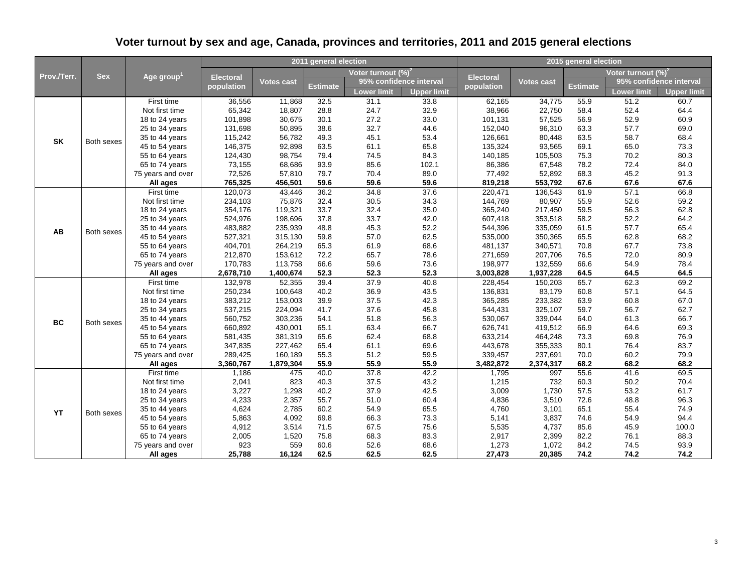| Prov./Terr. |            |                                     |                    |                    | 2011 general election |                                |                         | 2015 general election |                    |              |                                |                    |
|-------------|------------|-------------------------------------|--------------------|--------------------|-----------------------|--------------------------------|-------------------------|-----------------------|--------------------|--------------|--------------------------------|--------------------|
|             | <b>Sex</b> |                                     |                    |                    |                       | Voter turnout (%) <sup>2</sup> |                         |                       |                    |              | Voter turnout (%) <sup>2</sup> |                    |
|             |            | Age group $^{\mathsf{1}}$           | <b>Electoral</b>   | Votes cast         |                       |                                | 95% confidence interval | <b>Electoral</b>      | Votes cast         |              | 95% confidence interval        |                    |
|             |            |                                     | population         |                    | <b>Estimate</b>       | <b>Lower limit</b>             | <b>Upper limit</b>      | population            |                    | Estimate     | Lower limit                    | <b>Upper limit</b> |
|             |            | First time                          | 36,556             | 11,868             | 32.5                  | 31.1                           | 33.8                    | 62,165                | 34,775             | 55.9         | 51.2                           | 60.7               |
|             |            | Not first time                      | 65,342             | 18,807             | 28.8                  | 24.7                           | 32.9                    | 38,966                | 22,750             | 58.4         | 52.4                           | 64.4               |
|             |            | 18 to 24 years                      | 101,898            | 30,675             | 30.1                  | 27.2                           | 33.0                    | 101,131               | 57,525             | 56.9         | 52.9                           | 60.9               |
|             |            | 25 to 34 years                      | 131,698            | 50,895             | 38.6                  | 32.7                           | 44.6                    | 152,040               | 96,310             | 63.3         | 57.7                           | 69.0               |
| <b>SK</b>   | Both sexes | 35 to 44 years                      | 115,242            | 56,782             | 49.3                  | 45.1                           | 53.4                    | 126,661               | 80,448             | 63.5         | 58.7                           | 68.4               |
|             |            | 45 to 54 years                      | 146,375            | 92,898             | 63.5                  | 61.1                           | 65.8                    | 135,324               | 93,565             | 69.1         | 65.0                           | 73.3               |
|             |            | 55 to 64 years                      | 124,430            | 98,754             | 79.4                  | 74.5                           | 84.3                    | 140,185               | 105,503            | 75.3         | 70.2                           | 80.3               |
|             |            | 65 to 74 years                      | 73,155             | 68,686             | 93.9                  | 85.6                           | 102.1                   | 86,386                | 67,548             | 78.2         | 72.4                           | 84.0               |
|             |            | 75 years and over                   | 72,526             | 57,810             | 79.7                  | 70.4                           | 89.0                    | 77,492                | 52,892             | 68.3         | 45.2                           | 91.3               |
|             |            | All ages                            | 765,325            | 456,501            | 59.6                  | 59.6                           | 59.6                    | 819,218               | 553,792            | 67.6         | 67.6                           | 67.6               |
|             |            | First time                          | 120,073            | 43,446             | 36.2                  | 34.8                           | 37.6                    | 220,471               | 136,543            | 61.9         | 57.1                           | 66.8               |
|             |            | Not first time                      | 234,103            | 75,876             | 32.4                  | 30.5                           | 34.3                    | 144,769               | 80,907             | 55.9         | 52.6                           | 59.2               |
|             |            | 18 to 24 years                      | 354,176            | 119,321            | 33.7                  | 32.4                           | 35.0                    | 365,240               | 217,450            | 59.5         | 56.3                           | 62.8               |
| <b>AB</b>   | Both sexes | 25 to 34 years                      | 524,976            | 198,696            | 37.8                  | 33.7                           | 42.0                    | 607,418               | 353,518            | 58.2         | 52.2                           | 64.2               |
|             |            | 35 to 44 years                      | 483,882            | 235,939            | 48.8                  | 45.3                           | 52.2                    | 544,396               | 335,059            | 61.5         | 57.7                           | 65.4               |
|             |            | 45 to 54 years                      | 527,321            | 315,130            | 59.8                  | 57.0                           | 62.5                    | 535,000               | 350,365            | 65.5         | 62.8                           | 68.2               |
|             |            | 55 to 64 years                      | 404,701            | 264,219            | 65.3                  | 61.9                           | 68.6                    | 481,137               | 340,571            | 70.8         | 67.7                           | 73.8               |
|             |            | 65 to 74 years                      | 212,870            | 153,612            | 72.2                  | 65.7                           | 78.6                    | 271,659               | 207,706            | 76.5         | 72.0                           | 80.9               |
|             |            | 75 years and over                   | 170,783            | 113,758            | 66.6                  | 59.6                           | 73.6                    | 198,977               | 132,559            | 66.6         | 54.9                           | 78.4               |
|             |            | All ages                            | 2,678,710          | 1,400,674          | 52.3                  | 52.3                           | 52.3                    | 3,003,828             | 1,937,228          | 64.5         | 64.5                           | 64.5               |
|             |            | First time                          | 132,978            | 52,355             | 39.4                  | 37.9                           | 40.8                    | 228,454               | 150,203            | 65.7         | 62.3                           | 69.2               |
|             |            | Not first time                      | 250,234            | 100,648            | 40.2                  | 36.9                           | 43.5                    | 136,831               | 83,179             | 60.8         | 57.1                           | 64.5               |
|             |            | 18 to 24 years                      | 383,212            | 153,003            | 39.9                  | 37.5                           | 42.3                    | 365,285               | 233,382            | 63.9         | 60.8                           | 67.0               |
|             |            | 25 to 34 years                      | 537,215            | 224,094            | 41.7                  | 37.6                           | 45.8                    | 544,431               | 325,107            | 59.7         | 56.7                           | 62.7               |
| <b>BC</b>   | Both sexes | 35 to 44 years                      | 560,752            | 303,236            | 54.1                  | 51.8                           | 56.3                    | 530,067               | 339,044            | 64.0         | 61.3                           | 66.7               |
|             |            | 45 to 54 years                      | 660,892            | 430,001            | 65.1                  | 63.4                           | 66.7                    | 626,741               | 419,512            | 66.9         | 64.6                           | 69.3               |
|             |            | 55 to 64 years                      | 581,435            | 381,319            | 65.6                  | 62.4<br>61.1                   | 68.8                    | 633,214               | 464,248            | 73.3<br>80.1 | 69.8<br>76.4                   | 76.9               |
|             |            | 65 to 74 years<br>75 years and over | 347,835<br>289,425 | 227,462<br>160,189 | 65.4<br>55.3          | 51.2                           | 69.6<br>59.5            | 443,678               | 355,333<br>237,691 | 70.0         | 60.2                           | 83.7<br>79.9       |
|             |            | All ages                            | 3,360,767          | 1,879,304          | 55.9                  | 55.9                           | 55.9                    | 339,457<br>3,482,872  | 2,374,317          | 68.2         | 68.2                           | 68.2               |
|             |            | First time                          | 1,186              | 475                | 40.0                  | 37.8                           | 42.2                    | 1,795                 | 997                | 55.6         | 41.6                           | 69.5               |
|             |            | Not first time                      | 2,041              | 823                | 40.3                  | 37.5                           | 43.2                    | 1,215                 | 732                | 60.3         | 50.2                           | 70.4               |
|             |            | 18 to 24 years                      | 3,227              | 1,298              | 40.2                  | 37.9                           | 42.5                    | 3,009                 | 1,730              | 57.5         | 53.2                           | 61.7               |
|             |            | 25 to 34 years                      | 4,233              | 2,357              | 55.7                  | 51.0                           | 60.4                    | 4,836                 | 3,510              | 72.6         | 48.8                           | 96.3               |
|             |            | 35 to 44 years                      | 4,624              | 2,785              | 60.2                  | 54.9                           | 65.5                    | 4,760                 | 3,101              | 65.1         | 55.4                           | 74.9               |
| <b>YT</b>   |            | 45 to 54 years                      | 5,863              | 4,092              | 69.8                  | 66.3                           | 73.3                    | 5,141                 | 3,837              | 74.6         | 54.9                           | 94.4               |
|             |            | 55 to 64 years                      | 4,912              | 3,514              | 71.5                  | 67.5                           | 75.6                    | 5,535                 | 4,737              | 85.6         | 45.9                           | 100.0              |
|             |            | 65 to 74 years                      | 2,005              | 1,520              | 75.8                  | 68.3                           | 83.3                    | 2,917                 | 2,399              | 82.2         | 76.1                           | 88.3               |
|             |            | 75 years and over                   | 923                | 559                | 60.6                  | 52.6                           | 68.6                    | 1,273                 | 1,072              | 84.2         | 74.5                           | 93.9               |
|             | Both sexes | All ages                            | 25,788             | 16,124             | 62.5                  | 62.5                           | 62.5                    | 27,473                | 20,385             | 74.2         | 74.2                           | 74.2               |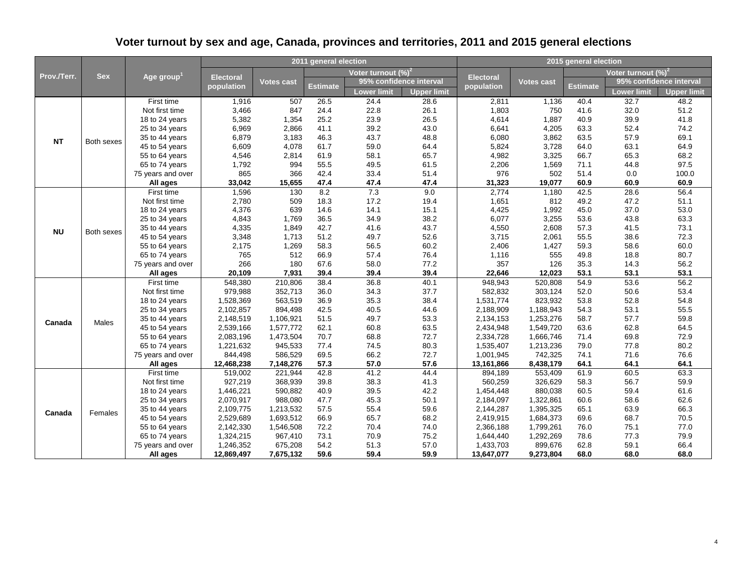| Prov./Terr. |              |                                  |                        |                    | 2011 general election |                        |                         | 2015 general election  |                    |              |                         |                    |
|-------------|--------------|----------------------------------|------------------------|--------------------|-----------------------|------------------------|-------------------------|------------------------|--------------------|--------------|-------------------------|--------------------|
|             | <b>Sex</b>   |                                  |                        |                    |                       | Voter turnout $(\%)^2$ |                         |                        |                    |              | Voter turnout $(\%)^2$  |                    |
|             |              | Age group <sup>1</sup>           | <b>Electoral</b>       | <b>Votes cast</b>  |                       |                        | 95% confidence interval | <b>Electoral</b>       | <b>Votes cast</b>  |              | 95% confidence interval |                    |
|             |              |                                  | population             |                    | <b>Estimate</b>       | Lower limit            | <b>Upper limit</b>      | population             |                    | Estimate     | Lower limit             | <b>Upper limit</b> |
|             |              | First time                       | 1,916                  | 507                | 26.5                  | 24.4                   | 28.6                    | 2,811                  | 1,136              | 40.4         | 32.7                    | 48.2               |
|             |              | Not first time                   | 3,466                  | 847                | 24.4                  | 22.8                   | 26.1                    | 1,803                  | 750                | 41.6         | 32.0                    | 51.2               |
|             |              | 18 to 24 years                   | 5,382                  | 1,354              | 25.2                  | 23.9                   | 26.5                    | 4,614                  | 1,887              | 40.9         | 39.9                    | 41.8               |
|             |              | 25 to 34 years                   | 6,969                  | 2,866              | 41.1                  | 39.2                   | 43.0                    | 6,641                  | 4,205              | 63.3         | 52.4                    | 74.2               |
| <b>NT</b>   | Both sexes   | 35 to 44 years                   | 6,879                  | 3,183              | 46.3                  | 43.7                   | 48.8                    | 6,080                  | 3,862              | 63.5         | 57.9                    | 69.1               |
|             |              | 45 to 54 years                   | 6,609                  | 4,078              | 61.7                  | 59.0                   | 64.4                    | 5,824                  | 3,728              | 64.0         | 63.1                    | 64.9               |
|             |              | 55 to 64 years                   | 4,546                  | 2,814              | 61.9                  | 58.1                   | 65.7                    | 4,982                  | 3,325              | 66.7         | 65.3                    | 68.2               |
|             |              | 65 to 74 years                   | 1,792                  | 994                | 55.5                  | 49.5                   | 61.5                    | 2,206                  | 1,569              | 71.1         | 44.8                    | 97.5               |
|             |              | 75 years and over                | 865                    | 366                | 42.4                  | 33.4                   | 51.4                    | 976                    | 502                | 51.4         | 0.0                     | 100.0              |
|             |              | All ages                         | 33,042                 | 15,655             | 47.4                  | 47.4                   | 47.4                    | 31,323                 | 19,077             | 60.9         | 60.9                    | 60.9               |
|             |              | First time                       | 1,596                  | 130                | 8.2                   | 7.3                    | 9.0                     | 2,774                  | 1,180              | 42.5         | 28.6                    | 56.4               |
|             |              | Not first time                   | 2,780                  | 509                | 18.3                  | 17.2                   | 19.4                    | 1,651                  | 812                | 49.2         | 47.2                    | 51.1               |
|             | Both sexes   | 18 to 24 years                   | 4,376                  | 639                | 14.6                  | 14.1                   | 15.1                    | 4,425                  | 1,992              | 45.0         | 37.0                    | 53.0               |
| <b>NU</b>   |              | 25 to 34 years                   | 4,843                  | 1,769              | 36.5                  | 34.9                   | 38.2                    | 6,077                  | 3,255              | 53.6         | 43.8                    | 63.3               |
|             |              | 35 to 44 years                   | 4,335                  | 1,849              | 42.7                  | 41.6                   | 43.7                    | 4,550                  | 2,608              | 57.3         | 41.5                    | 73.1               |
|             |              | 45 to 54 years                   | 3,348                  | 1,713              | 51.2                  | 49.7                   | 52.6                    | 3,715                  | 2,061              | 55.5         | 38.6                    | 72.3               |
|             |              | 55 to 64 years                   | 2,175                  | 1,269              | 58.3                  | 56.5                   | 60.2                    | 2,406                  | 1,427              | 59.3         | 58.6                    | 60.0               |
|             |              | 65 to 74 years                   | 765                    | 512                | 66.9                  | 57.4                   | 76.4                    | 1,116                  | 555                | 49.8         | 18.8                    | 80.7               |
|             |              | 75 years and over                | 266                    | 180                | 67.6                  | 58.0                   | 77.2                    | 357                    | 126                | 35.3         | 14.3                    | 56.2               |
|             |              | All ages                         | 20.109                 | 7,931              | 39.4                  | 39.4                   | 39.4                    | 22,646                 | 12,023             | 53.1         | 53.1                    | 53.1               |
|             |              | First time                       | 548,380                | 210,806            | 38.4                  | 36.8                   | 40.1                    | 948,943                | 520,808            | 54.9         | 53.6                    | 56.2               |
|             |              | Not first time                   | 979,988                | 352,713            | 36.0                  | 34.3                   | 37.7                    | 582,832                | 303,124            | 52.0         | 50.6                    | 53.4               |
|             |              | 18 to 24 years                   | 1,528,369              | 563,519            | 36.9                  | 35.3                   | 38.4                    | 1,531,774              | 823,932            | 53.8         | 52.8                    | 54.8               |
|             |              | 25 to 34 years                   | 2,102,857              | 894,498            | 42.5                  | 40.5                   | 44.6                    | 2,188,909              | 1,188,943          | 54.3         | 53.1                    | 55.5               |
| Canada      | <b>Males</b> | 35 to 44 years                   | 2,148,519              | 1,106,921          | 51.5                  | 49.7                   | 53.3                    | 2,134,153              | 1,253,276          | 58.7         | 57.7                    | 59.8               |
|             |              | 45 to 54 years                   | 2,539,166              | 1,577,772          | 62.1                  | 60.8                   | 63.5                    | 2,434,948              | 1,549,720          | 63.6         | 62.8                    | 64.5               |
|             |              | 55 to 64 years                   | 2,083,196              | 1,473,504          | 70.7                  | 68.8                   | 72.7                    | 2,334,728              | 1,666,746          | 71.4         | 69.8                    | 72.9               |
|             |              | 65 to 74 years                   | 1,221,632              | 945,533            | 77.4                  | 74.5                   | 80.3                    | 1,535,407              | 1,213,236          | 79.0         | 77.8                    | 80.2               |
|             |              | 75 years and over                | 844,498                | 586,529            | 69.5                  | 66.2                   | 72.7                    | 1,001,945              | 742,325            | 74.1         | 71.6                    | 76.6               |
|             |              | All ages                         | 12,468,238             | 7,148,276          | 57.3                  | 57.0                   | 57.6                    | 13,161,866             | 8,438,179          | 64.1         | 64.1                    | 64.1               |
|             |              | First time                       | 519,002                | 221,944            | 42.8<br>39.8          | 41.2                   | 44.4                    | 894,189                | 553,409            | 61.9<br>58.3 | 60.5                    | 63.3<br>59.9       |
|             |              | Not first time<br>18 to 24 years | 927,219<br>1,446,221   | 368,939<br>590,882 | 40.9                  | 38.3                   | 41.3<br>42.2            | 560,259<br>1,454,448   | 326,629<br>880,038 | 60.5         | 56.7<br>59.4            | 61.6               |
|             |              | 25 to 34 years                   | 2,070,917              | 988,080            | 47.7                  | 39.5<br>45.3           | 50.1                    | 2,184,097              | 1,322,861          | 60.6         | 58.6                    | 62.6               |
|             |              |                                  |                        | 1,213,532          | 57.5                  |                        |                         |                        | 1,395,325          | 65.1         |                         |                    |
| Canada      | Females      | 35 to 44 years<br>45 to 54 years | 2,109,775<br>2,529,689 | 1,693,512          | 66.9                  | 55.4<br>65.7           | 59.6<br>68.2            | 2,144,287<br>2,419,915 | 1,684,373          | 69.6         | 63.9<br>68.7            | 66.3<br>70.5       |
|             |              | 55 to 64 years                   | 2,142,330              | 1,546,508          | 72.2                  | 70.4                   | 74.0                    | 2,366,188              | 1,799,261          | 76.0         | 75.1                    | 77.0               |
|             |              | 65 to 74 years                   | 1,324,215              | 967,410            | 73.1                  | 70.9                   | 75.2                    | 1,644,440              | 1,292,269          | 78.6         | 77.3                    | 79.9               |
|             |              | 75 years and over                | 1,246,352              | 675,208            | 54.2                  | 51.3                   | 57.0                    | 1,433,703              | 899,676            | 62.8         | 59.1                    | 66.4               |
|             |              | All ages                         | 12,869,497             | 7,675,132          | 59.6                  | 59.4                   | 59.9                    | 13,647,077             | 9,273,804          | 68.0         | 68.0                    | 68.0               |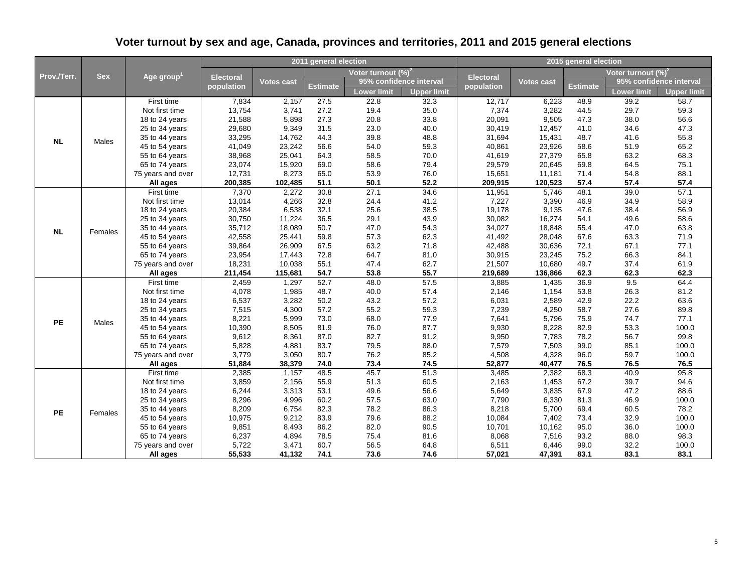| Prov./Terr. |              |                        |                  |                   | 2011 general election |                        |                         | 2015 general election                                                                                                                                               |                   |              |                         |                    |  |
|-------------|--------------|------------------------|------------------|-------------------|-----------------------|------------------------|-------------------------|---------------------------------------------------------------------------------------------------------------------------------------------------------------------|-------------------|--------------|-------------------------|--------------------|--|
|             | <b>Sex</b>   |                        |                  |                   |                       | Voter turnout $(\%)^2$ |                         |                                                                                                                                                                     |                   |              | Voter turnout $(\%)^2$  |                    |  |
|             |              | Age group <sup>1</sup> | <b>Electoral</b> | <b>Votes cast</b> |                       |                        | 95% confidence interval | <b>Electoral</b>                                                                                                                                                    | <b>Votes cast</b> |              | 95% confidence interval |                    |  |
|             |              |                        | population       |                   | <b>Estimate</b>       | Lower limit            | <b>Upper limit</b>      | population                                                                                                                                                          |                   | Estimate     | Lower limit             | <b>Upper limit</b> |  |
|             |              | First time             | 7,834            | 2,157             | 27.5                  | 22.8                   | 32.3                    | 12,717                                                                                                                                                              | 6,223             | 48.9         | 39.2                    | 58.7               |  |
|             |              | Not first time         | 13,754           | 3,741             | 27.2                  | 19.4                   | 35.0                    | 7,374                                                                                                                                                               | 3,282             | 44.5         | 29.7                    | 59.3               |  |
|             |              | 18 to 24 years         | 21,588           | 5,898             | 27.3                  | 20.8                   | 33.8                    | 20,091                                                                                                                                                              | 9,505             | 47.3         | 38.0                    | 56.6               |  |
|             |              | 25 to 34 years         | 29,680           | 9,349             | 31.5                  | 23.0                   | 40.0                    | 30,419                                                                                                                                                              | 12,457            | 41.0         | 34.6                    | 47.3               |  |
| <b>NL</b>   | Males        | 35 to 44 years         | 33,295           | 14,762            | 44.3                  | 39.8                   | 48.8                    | 31,694                                                                                                                                                              | 15,431            | 48.7         | 41.6                    | 55.8               |  |
|             |              | 45 to 54 years         | 41,049           | 23,242            | 56.6                  | 54.0                   | 59.3                    | 40,861                                                                                                                                                              | 23,926            | 58.6         | 51.9                    | 65.2               |  |
|             |              | 55 to 64 years         | 38,968           | 25,041            | 64.3                  | 58.5                   | 70.0                    | 41,619                                                                                                                                                              | 27,379            | 65.8         | 63.2                    | 68.3               |  |
|             |              | 65 to 74 years         | 23,074           | 15,920            | 69.0                  | 58.6                   | 79.4                    | 29,579                                                                                                                                                              | 20,645            | 69.8         | 64.5                    | 75.1               |  |
|             |              | 75 years and over      | 12,731           | 8,273             | 65.0                  | 53.9                   | 76.0                    | 15,651                                                                                                                                                              | 11,181            | 71.4         | 54.8                    | 88.1               |  |
|             |              | All ages               | 200,385          | 102,485           | 51.1                  | 50.1                   | 52.2                    | 209,915                                                                                                                                                             | 120,523           | 57.4         | 57.4                    | 57.4               |  |
|             |              | First time             | 7,370            | 2,272             | 30.8                  | 27.1                   | 34.6                    | 11,951                                                                                                                                                              | 5,746             | 48.1         | 39.0                    | 57.1               |  |
|             |              | Not first time         | 13,014           | 4,266             | 32.8                  | 24.4                   | 41.2                    | 7,227                                                                                                                                                               | 3,390             | 46.9         | 34.9                    | 58.9               |  |
|             | Females      | 18 to 24 years         | 20,384           | 6,538             | 32.1                  | 25.6                   | 38.5                    |                                                                                                                                                                     |                   |              | 38.4                    | 56.9               |  |
|             |              | 25 to 34 years         | 30,750           | 11,224            | 36.5                  | 29.1                   | 43.9                    | 19,178<br>9,135<br>47.6<br>30,082<br>16,274<br>54.1<br>34,027<br>18,848<br>55.4<br>41,492<br>67.6<br>28,048<br>42,488<br>30,636<br>72.1<br>30,915<br>75.2<br>23,245 | 49.6              | 58.6         |                         |                    |  |
| <b>NL</b>   |              | 35 to 44 years         | 35,712           | 18,089            | 50.7                  | 47.0                   | 54.3                    |                                                                                                                                                                     |                   |              | 47.0                    | 63.8               |  |
|             |              | 45 to 54 years         | 42,558           | 25,441            | 59.8                  | 57.3                   | 62.3                    |                                                                                                                                                                     |                   |              | 63.3                    | 71.9               |  |
|             |              | 55 to 64 years         | 39,864           | 26,909            | 67.5                  | 63.2                   | 71.8                    |                                                                                                                                                                     |                   |              | 67.1                    | 77.1               |  |
|             |              | 65 to 74 years         | 23,954           | 17,443            | 72.8                  | 64.7                   | 81.0                    |                                                                                                                                                                     |                   |              | 66.3                    | 84.1               |  |
|             |              | 75 years and over      | 18,231           | 10,038            | 55.1                  | 47.4                   | 62.7                    | 21,507                                                                                                                                                              | 10,680            | 49.7         | 37.4                    | 61.9               |  |
|             |              | All ages               | 211,454          | 115,681           | 54.7                  | 53.8                   | 55.7                    | 219,689                                                                                                                                                             | 136,866           | 62.3         | 62.3                    | 62.3               |  |
|             |              | First time             | 2,459            | 1,297             | 52.7                  | 48.0                   | 57.5                    | 3,885                                                                                                                                                               | 1,435             | 36.9         | 9.5                     | 64.4               |  |
|             |              | Not first time         | 4,078            | 1,985             | 48.7                  | 40.0                   | 57.4                    | 2,146                                                                                                                                                               | 1,154             | 53.8         | 26.3                    | 81.2               |  |
|             |              | 18 to 24 years         | 6,537            | 3,282             | 50.2                  | 43.2                   | 57.2                    | 6,031                                                                                                                                                               | 2,589             | 42.9         | 22.2                    | 63.6               |  |
|             |              | 25 to 34 years         | 7,515            | 4,300             | 57.2                  | 55.2                   | 59.3                    | 7,239                                                                                                                                                               | 4,250             | 58.7         | 27.6                    | 89.8               |  |
| PE          | <b>Males</b> | 35 to 44 years         | 8,221            | 5.999             | 73.0                  | 68.0                   | 77.9                    | 7,641                                                                                                                                                               | 5,796             | 75.9         | 74.7                    | 77.1               |  |
|             |              | 45 to 54 years         | 10,390           | 8,505             | 81.9                  | 76.0                   | 87.7                    | 9,930                                                                                                                                                               | 8,228             | 82.9         | 53.3                    | 100.0              |  |
|             |              | 55 to 64 years         | 9,612            | 8,361             | 87.0                  | 82.7                   | 91.2                    | 9,950                                                                                                                                                               | 7,783             | 78.2         | 56.7                    | 99.8               |  |
|             |              | 65 to 74 years         | 5,828            | 4,881             | 83.7                  | 79.5                   | 88.0                    | 7,579                                                                                                                                                               | 7,503             | 99.0         | 85.1                    | 100.0              |  |
|             |              | 75 years and over      | 3,779<br>51,884  | 3,050<br>38,379   | 80.7<br>74.0          | 76.2<br>73.4           | 85.2<br>74.5            | 4,508<br>52,877                                                                                                                                                     | 4,328<br>40,477   | 96.0<br>76.5 | 59.7<br>76.5            | 100.0<br>76.5      |  |
|             |              | All ages<br>First time | 2,385            | 1,157             | 48.5                  | 45.7                   | 51.3                    | 3,485                                                                                                                                                               | 2,382             | 68.3         | 40.9                    | 95.8               |  |
|             |              | Not first time         | 3,859            | 2,156             | 55.9                  | 51.3                   | 60.5                    | 2,163                                                                                                                                                               | 1,453             | 67.2         | 39.7                    | 94.6               |  |
|             |              | 18 to 24 years         | 6,244            | 3,313             | 53.1                  | 49.6                   | 56.6                    | 5,649                                                                                                                                                               | 3,835             | 67.9         | 47.2                    | 88.6               |  |
|             |              | 25 to 34 years         | 8,296            | 4,996             | 60.2                  | 57.5                   | 63.0                    | 7,790                                                                                                                                                               | 6,330             | 81.3         | 46.9                    | 100.0              |  |
|             |              | 35 to 44 years         | 8,209            | 6,754             | 82.3                  | 78.2                   | 86.3                    | 8,218                                                                                                                                                               | 5,700             | 69.4         | 60.5                    | 78.2               |  |
| <b>PE</b>   | Females      | 45 to 54 years         | 10,975           | 9,212             | 83.9                  | 79.6                   | 88.2                    | 10,084                                                                                                                                                              | 7,402             | 73.4         | 32.9                    | 100.0              |  |
|             |              | 55 to 64 years         | 9,851            | 8,493             | 86.2                  | 82.0                   | 90.5                    | 10,701                                                                                                                                                              | 10,162            | 95.0         | 36.0                    | 100.0              |  |
|             |              | 65 to 74 years         | 6,237            | 4,894             | 78.5                  | 75.4                   | 81.6                    | 8,068                                                                                                                                                               | 7,516             | 93.2         | 88.0                    | 98.3               |  |
|             |              | 75 years and over      | 5,722            | 3,471             | 60.7                  | 56.5                   | 64.8                    | 6,511                                                                                                                                                               | 6,446             | 99.0         | 32.2                    | 100.0              |  |
|             |              | All ages               | 55,533           | 41,132            | 74.1                  | 73.6                   | 74.6                    | 57,021                                                                                                                                                              | 47,391            | 83.1         | 83.1                    | 83.1               |  |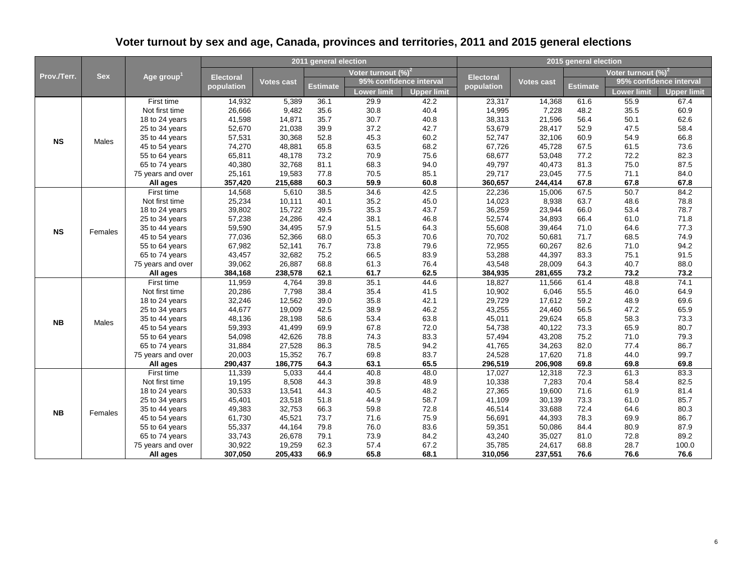| Prov./Terr. |                  |                        |                   |                   | 2011 general election |                         |                                                                                                                                                                                    |                   |                   | 2015 general election |                         |                    |
|-------------|------------------|------------------------|-------------------|-------------------|-----------------------|-------------------------|------------------------------------------------------------------------------------------------------------------------------------------------------------------------------------|-------------------|-------------------|-----------------------|-------------------------|--------------------|
|             | <b>Sex</b>       |                        | <b>Electoral</b>  |                   |                       | Voter turnout $(\%)^2$  |                                                                                                                                                                                    |                   |                   |                       | Voter turnout $(\%)^2$  |                    |
|             |                  | Age group $^{\rm 1}$   |                   | Votes cast        |                       | 95% confidence interval |                                                                                                                                                                                    | <b>Electoral</b>  | Votes cast        |                       | 95% confidence interval |                    |
|             |                  |                        | population        |                   | Estimate              | Lower limit             | <b>Upper limit</b>                                                                                                                                                                 | population        |                   | Estimate              | <b>Lower limit</b>      | <b>Upper limit</b> |
|             |                  | First time             | 14,932            | 5,389             | 36.1                  | 29.9                    | 42.2                                                                                                                                                                               | 23,317            | 14,368            | 61.6                  | 55.9                    | 67.4               |
|             |                  | Not first time         | 26,666            | 9,482             | 35.6                  | 30.8                    | 40.4                                                                                                                                                                               | 14,995            | 7,228             | 48.2                  | 35.5                    | 60.9               |
|             | Males<br>Females | 18 to 24 years         | 41,598            | 14,871            | 35.7                  | 30.7                    | 40.8                                                                                                                                                                               | 38,313            | 21,596            | 56.4                  | 50.1                    | 62.6               |
|             |                  | 25 to 34 years         | 52,670            | 21,038            | 39.9                  | 37.2                    | 42.7                                                                                                                                                                               | 53,679            | 28,417            | 52.9                  | 47.5                    | 58.4               |
| <b>NS</b>   |                  | 35 to 44 years         | 57,531            | 30,368            | 52.8                  | 45.3                    | 60.2                                                                                                                                                                               | 52,747            | 32,106            | 60.9                  | 54.9                    | 66.8               |
|             |                  | 45 to 54 years         | 74,270            | 48,881            | 65.8                  | 63.5                    | 68.2                                                                                                                                                                               | 67,726            | 45,728            | 67.5                  | 61.5                    | 73.6               |
|             |                  | 55 to 64 years         | 65,811            | 48,178            | 73.2                  | 70.9                    | 75.6                                                                                                                                                                               | 68,677            | 53,048            | 77.2                  | 72.2                    | 82.3               |
|             |                  | 65 to 74 years         | 40,380            | 32,768            | 81.1                  | 68.3                    | 94.0                                                                                                                                                                               | 49,797            | 40,473            | 81.3                  | 75.0                    | 87.5               |
|             |                  | 75 years and over      | 25,161            | 19,583            | 77.8                  | 70.5                    | 85.1                                                                                                                                                                               | 29,717            | 23,045            | 77.5                  | 71.1                    | 84.0               |
|             |                  | All ages               | 357,420           | 215,688           | 60.3                  | 59.9                    | 60.8                                                                                                                                                                               | 360,657           | 244,414           | 67.8                  | 67.8                    | 67.8               |
|             |                  | First time             | 14,568            | 5,610             | 38.5                  | 34.6                    | 42.5                                                                                                                                                                               | 22,236            | 15,006            | 67.5                  | 50.7                    | 84.2               |
|             |                  | Not first time         | 25,234            | 10,111            | 40.1                  |                         |                                                                                                                                                                                    |                   | 8,938             | 63.7                  | 48.6                    | 78.8               |
|             |                  | 18 to 24 years         | 39,802            | 15,722            | 39.5                  |                         | 35.2<br>45.0<br>14,023<br>35.3<br>43.7<br>36,259<br>38.1<br>46.8<br>52,574<br>51.5<br>64.3<br>55,608<br>65.3<br>70.6<br>70,702<br>73.8<br>79.6<br>72,955<br>66.5<br>83.9<br>53,288 | 23,944            | 66.0              | 53.4                  | 78.7                    |                    |
| <b>NS</b>   |                  | 25 to 34 years         | 57,238            | 24,286            | 42.4                  |                         |                                                                                                                                                                                    |                   | 34,893            | 66.4                  | 61.0                    | 71.8               |
|             |                  | 35 to 44 years         | 59,590            | 34,495            | 57.9                  |                         |                                                                                                                                                                                    |                   | 39,464            | 71.0                  | 64.6                    | 77.3               |
|             |                  | 45 to 54 years         | 77,036            | 52,366            | 68.0                  |                         |                                                                                                                                                                                    |                   | 50,681            | 71.7                  | 68.5                    | 74.9               |
|             |                  | 55 to 64 years         | 67,982            | 52,141            | 76.7                  |                         |                                                                                                                                                                                    |                   | 60,267            | 82.6                  | 71.0                    | 94.2               |
|             |                  | 65 to 74 years         | 43,457            | 32,682            | 75.2                  |                         |                                                                                                                                                                                    |                   | 44,397            | 83.3                  | 75.1                    | 91.5               |
|             |                  | 75 years and over      | 39,062            | 26,887            | 68.8                  | 61.3                    | 76.4                                                                                                                                                                               | 43,548            | 28,009            | 64.3                  | 40.7                    | 88.0               |
|             |                  | All ages               | 384,168           | 238,578           | 62.1                  | 61.7                    | 62.5                                                                                                                                                                               | 384,935           | 281,655           | 73.2                  | 73.2                    | 73.2               |
|             |                  | First time             | 11,959            | 4,764             | 39.8                  | 35.1                    | 44.6                                                                                                                                                                               | 18,827            | 11,566            | 61.4                  | 48.8                    | 74.1               |
|             |                  | Not first time         | 20,286            | 7,798             | 38.4                  | 35.4                    | 41.5                                                                                                                                                                               | 10,902            | 6,046             | 55.5                  | 46.0                    | 64.9               |
|             |                  | 18 to 24 years         | 32,246            | 12,562            | 39.0                  | 35.8                    | 42.1                                                                                                                                                                               | 29,729            | 17,612            | 59.2                  | 48.9                    | 69.6               |
|             |                  | 25 to 34 years         | 44,677            | 19,009            | 42.5                  | 38.9                    | 46.2                                                                                                                                                                               | 43,255            | 24,460            | 56.5                  | 47.2                    | 65.9               |
| <b>NB</b>   | <b>Males</b>     | 35 to 44 years         | 48,136            | 28,198            | 58.6                  | 53.4                    | 63.8                                                                                                                                                                               | 45,011            | 29,624            | 65.8                  | 58.3                    | 73.3               |
|             |                  | 45 to 54 years         | 59,393            | 41,499            | 69.9                  | 67.8                    | 72.0                                                                                                                                                                               | 54,738            | 40,122            | 73.3                  | 65.9                    | 80.7               |
|             |                  | 55 to 64 years         | 54,098            | 42,626            | 78.8                  | 74.3                    | 83.3                                                                                                                                                                               | 57,494            | 43,208            | 75.2                  | 71.0                    | 79.3               |
|             |                  | 65 to 74 years         | 31,884            | 27,528            | 86.3                  | 78.5                    | 94.2                                                                                                                                                                               | 41,765            | 34,263            | 82.0                  | 77.4                    | 86.7               |
|             |                  | 75 years and over      | 20,003<br>290,437 | 15,352<br>186,775 | 76.7<br>64.3          | 69.8<br>63.1            | 83.7<br>65.5                                                                                                                                                                       | 24,528<br>296,519 | 17,620<br>206,908 | 71.8<br>69.8          | 44.0<br>69.8            | 99.7<br>69.8       |
|             |                  | All ages<br>First time |                   |                   | 44.4                  | 40.8                    |                                                                                                                                                                                    |                   |                   | 72.3                  |                         | 83.3               |
|             |                  | Not first time         | 11,339<br>19,195  | 5,033<br>8,508    | 44.3                  | 39.8                    | 48.0<br>48.9                                                                                                                                                                       | 17,027<br>10,338  | 12,318<br>7,283   | 70.4                  | 61.3<br>58.4            | 82.5               |
|             |                  | 18 to 24 years         | 30,533            | 13,541            | 44.3                  | 40.5                    | 48.2                                                                                                                                                                               | 27,365            | 19,600            | 71.6                  | 61.9                    | 81.4               |
|             |                  | 25 to 34 years         | 45,401            | 23,518            | 51.8                  | 44.9                    | 58.7                                                                                                                                                                               | 41,109            | 30,139            | 73.3                  | 61.0                    | 85.7               |
|             |                  | 35 to 44 years         | 49,383            | 32,753            | 66.3                  | 59.8                    | 72.8                                                                                                                                                                               | 46,514            | 33,688            | 72.4                  | 64.6                    | 80.3               |
| <b>NB</b>   | Females          | 45 to 54 years         | 61,730            | 45,521            | 73.7                  | 71.6                    | 75.9                                                                                                                                                                               | 56,691            | 44,393            | 78.3                  | 69.9                    | 86.7               |
|             |                  | 55 to 64 years         | 55,337            | 44,164            | 79.8                  | 76.0                    | 83.6                                                                                                                                                                               | 59,351            | 50,086            | 84.4                  | 80.9                    | 87.9               |
|             |                  | 65 to 74 years         | 33,743            | 26,678            | 79.1                  | 73.9                    | 84.2                                                                                                                                                                               | 43,240            | 35,027            | 81.0                  | 72.8                    | 89.2               |
|             |                  | 75 years and over      | 30,922            | 19,259            | 62.3                  | 57.4                    | 67.2                                                                                                                                                                               | 35,785            | 24,617            | 68.8                  | 28.7                    | 100.0              |
|             |                  | All ages               | 307,050           | 205,433           | 66.9                  | 65.8                    | 68.1                                                                                                                                                                               | 310,056           | 237,551           | 76.6                  | 76.6                    | 76.6               |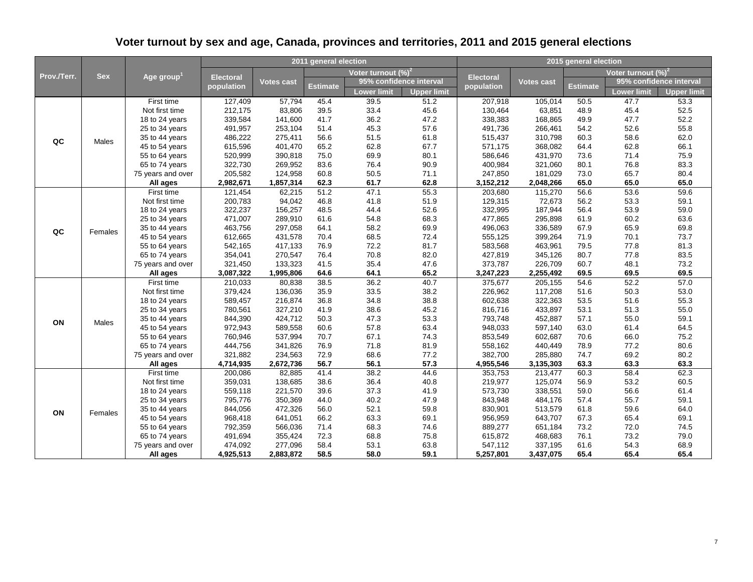| Prov./Terr. |              |                                  |                    |                    | 2011 general election |                        |                         | 2015 general election |                                                                                                                                                                                                                  |              |                         |                    |  |
|-------------|--------------|----------------------------------|--------------------|--------------------|-----------------------|------------------------|-------------------------|-----------------------|------------------------------------------------------------------------------------------------------------------------------------------------------------------------------------------------------------------|--------------|-------------------------|--------------------|--|
|             | <b>Sex</b>   |                                  |                    |                    |                       | Voter turnout $(\%)^2$ |                         |                       |                                                                                                                                                                                                                  |              | Voter turnout $(\%)^2$  |                    |  |
|             |              | Age group <sup>1</sup>           | <b>Electoral</b>   | <b>Votes cast</b>  |                       |                        | 95% confidence interval | <b>Electoral</b>      | Votes cast                                                                                                                                                                                                       |              | 95% confidence interval |                    |  |
|             |              |                                  | population         |                    | <b>Estimate</b>       | Lower limit            | <b>Upper limit</b>      | population            |                                                                                                                                                                                                                  | Estimate     | Lower limit             | <b>Upper limit</b> |  |
|             |              | First time                       | 127,409            | 57,794             | 45.4                  | 39.5                   | 51.2                    | 207,918               | 105,014                                                                                                                                                                                                          | 50.5         | 47.7                    | 53.3               |  |
|             |              | Not first time                   | 212,175            | 83,806             | 39.5                  | 33.4                   | 45.6                    | 130,464               | 63,851                                                                                                                                                                                                           | 48.9         | 45.4                    | 52.5               |  |
|             |              | 18 to 24 years                   | 339,584            | 141,600            | 41.7                  | 36.2                   | 47.2                    | 338,383               | 168,865                                                                                                                                                                                                          | 49.9         | 47.7                    | 52.2               |  |
|             |              | 25 to 34 years                   | 491,957            | 253,104            | 51.4                  | 45.3                   | 57.6                    | 491,736               | 266,461                                                                                                                                                                                                          | 54.2         | 52.6                    | 55.8               |  |
| QC          | Males        | 35 to 44 years                   | 486,222            | 275,411            | 56.6                  | 51.5                   | 61.8                    | 515,437               | 310,798                                                                                                                                                                                                          | 60.3         | 58.6                    | 62.0               |  |
|             |              | 45 to 54 years                   | 615,596            | 401,470            | 65.2                  | 62.8                   | 67.7                    | 571,175               | 368,082                                                                                                                                                                                                          | 64.4         | 62.8                    | 66.1               |  |
|             |              | 55 to 64 years                   | 520,999            | 390,818            | 75.0                  | 69.9                   | 80.1                    | 586,646               | 431,970                                                                                                                                                                                                          | 73.6         | 71.4                    | 75.9               |  |
|             |              | 65 to 74 years                   | 322,730            | 269,952            | 83.6                  | 76.4                   | 90.9                    | 400,984               | 321,060                                                                                                                                                                                                          | 80.1         | 76.8                    | 83.3               |  |
|             |              | 75 years and over                | 205,582            | 124,958            | 60.8                  | 50.5                   | 71.1                    | 247,850               | 181,029                                                                                                                                                                                                          | 73.0         | 65.7                    | 80.4               |  |
|             |              | All ages                         | 2,982,671          | 1,857,314          | 62.3                  | 61.7                   | 62.8                    | 3,152,212             |                                                                                                                                                                                                                  |              | 65.0                    | 65.0               |  |
|             |              | First time                       | 121,454            | 62,215             | 51.2                  | 47.1                   | 55.3                    | 203,680               |                                                                                                                                                                                                                  |              | 53.6                    | 59.6               |  |
|             |              | Not first time                   | 200,783            | 94,042             | 46.8                  | 41.8                   | 51.9                    | 129,315               |                                                                                                                                                                                                                  |              | 53.3                    | 59.1               |  |
|             |              | 18 to 24 years                   | 322,237            | 156,257            | 48.5                  | 44.4                   | 52.6                    | 332,995               | 2,048,266<br>65.0<br>115,270<br>56.6<br>72,673<br>56.2<br>56.4<br>187,944<br>295,898<br>61.9<br>336,589<br>67.9<br>399,264<br>71.9<br>463,961<br>79.5<br>345,126<br>80.7<br>226,709<br>60.7<br>2,255,492<br>69.5 | 53.9         | 59.0                    |                    |  |
| QC          |              | 25 to 34 years                   | 471,007            | 289,910            | 61.6                  | 54.8                   | 68.3                    | 477,865               |                                                                                                                                                                                                                  |              | 60.2                    | 63.6               |  |
|             |              | 35 to 44 years                   | 463,756            | 297,058            | 64.1                  | 58.2                   | 69.9                    | 496,063               |                                                                                                                                                                                                                  |              | 65.9                    | 69.8               |  |
|             | Females      | 45 to 54 years                   | 612,665            | 431,578            | 70.4                  | 68.5                   | 72.4                    | 555,125               |                                                                                                                                                                                                                  |              | 70.1                    | 73.7               |  |
|             |              | 55 to 64 years                   | 542,165            | 417,133            | 76.9                  | 72.2                   | 81.7                    | 583,568               |                                                                                                                                                                                                                  |              | 77.8                    | 81.3               |  |
|             |              | 65 to 74 years                   | 354,041            | 270,547            | 76.4                  | 70.8                   | 82.0                    | 427,819               |                                                                                                                                                                                                                  |              | 77.8                    | 83.5               |  |
|             |              | 75 years and over                | 321,450            | 133,323            | 41.5                  | 35.4                   | 47.6                    | 373,787               |                                                                                                                                                                                                                  |              | 48.1                    | 73.2               |  |
|             |              | All ages                         | 3,087,322          | 1,995,806          | 64.6                  | 64.1                   | 65.2                    | 3,247,223             |                                                                                                                                                                                                                  |              | 69.5                    | 69.5               |  |
|             |              | First time                       | 210,033            | 80,838             | 38.5                  | 36.2                   | 40.7                    | 375,677               | 205,155                                                                                                                                                                                                          | 54.6         | 52.2                    | 57.0               |  |
|             |              | Not first time                   | 379,424            | 136,036            | 35.9                  | 33.5                   | 38.2                    | 226,962               | 117,208                                                                                                                                                                                                          | 51.6         | 50.3                    | 53.0               |  |
|             |              | 18 to 24 years                   | 589,457            | 216,874            | 36.8                  | 34.8                   | 38.8                    | 602,638               | 322,363                                                                                                                                                                                                          | 53.5         | 51.6                    | 55.3               |  |
|             |              | 25 to 34 years                   | 780,561            | 327,210            | 41.9                  | 38.6                   | 45.2                    | 816,716               | 433,897                                                                                                                                                                                                          | 53.1         | 51.3                    | 55.0               |  |
| ON          | <b>Males</b> | 35 to 44 years                   | 844,390            | 424,712            | 50.3                  | 47.3                   | 53.3                    | 793,748               | 452,887                                                                                                                                                                                                          | 57.1         | 55.0                    | 59.1               |  |
|             |              | 45 to 54 years                   | 972,943            | 589,558            | 60.6                  | 57.8                   | 63.4                    | 948,033               | 597,140                                                                                                                                                                                                          | 63.0         | 61.4                    | 64.5               |  |
|             |              | 55 to 64 years                   | 760,946            | 537,994            | 70.7                  | 67.1                   | 74.3                    | 853,549               | 602,687                                                                                                                                                                                                          | 70.6         | 66.0                    | 75.2               |  |
|             |              | 65 to 74 years                   | 444,756            | 341,826            | 76.9                  | 71.8                   | 81.9                    | 558,162               | 440,449                                                                                                                                                                                                          | 78.9         | 77.2                    | 80.6               |  |
|             |              | 75 years and over                | 321,882            | 234,563            | 72.9<br>56.7          | 68.6<br>56.1           | 77.2                    | 382,700               | 285,880                                                                                                                                                                                                          | 74.7         | 69.2                    | 80.2<br>63.3       |  |
|             |              | All ages                         | 4,714,935          | 2,672,736          |                       |                        | 57.3                    | 4,955,546             | 3,135,303                                                                                                                                                                                                        | 63.3         | 63.3                    |                    |  |
|             |              | First time                       | 200,086            | 82,885             | 41.4                  | 38.2                   | 44.6                    | 353,753               | 213,477                                                                                                                                                                                                          | 60.3<br>56.9 | 58.4                    | 62.3               |  |
|             |              | Not first time                   | 359,031            | 138,685            | 38.6                  | 36.4                   | 40.8                    | 219,977               | 125,074                                                                                                                                                                                                          | 59.0         | 53.2                    | 60.5               |  |
|             |              | 18 to 24 years                   | 559,118            | 221,570            | 39.6<br>44.0          | 37.3<br>40.2           | 41.9<br>47.9            | 573,730               | 338,551<br>484,176                                                                                                                                                                                               | 57.4         | 56.6<br>55.7            | 61.4<br>59.1       |  |
|             |              | 25 to 34 years<br>35 to 44 years | 795,776<br>844,056 | 350,369<br>472,326 | 56.0                  | 52.1                   | 59.8                    | 843,948               | 513,579                                                                                                                                                                                                          | 61.8         | 59.6                    | 64.0               |  |
| ON          | Females      | 45 to 54 years                   | 968,418            | 641,051            | 66.2                  | 63.3                   | 69.1                    | 830,901<br>956,959    | 643,707                                                                                                                                                                                                          | 67.3         | 65.4                    | 69.1               |  |
|             |              |                                  |                    |                    |                       | 68.3                   |                         |                       |                                                                                                                                                                                                                  |              |                         |                    |  |
|             |              | 55 to 64 years<br>65 to 74 years | 792,359<br>491,694 | 566,036<br>355,424 | 71.4<br>72.3          | 68.8                   | 74.6<br>75.8            | 889,277<br>615,872    | 651,184<br>468,683                                                                                                                                                                                               | 73.2<br>76.1 | 72.0<br>73.2            | 74.5<br>79.0       |  |
|             |              | 75 years and over                | 474,092            | 277,096            | 58.4                  | 53.1                   | 63.8                    | 547,112               | 337,195                                                                                                                                                                                                          | 61.6         | 54.3                    | 68.9               |  |
|             |              | All ages                         | 4,925,513          | 2,883,872          | 58.5                  | 58.0                   | 59.1                    | 5,257,801             | 3,437,075                                                                                                                                                                                                        | 65.4         | 65.4                    | 65.4               |  |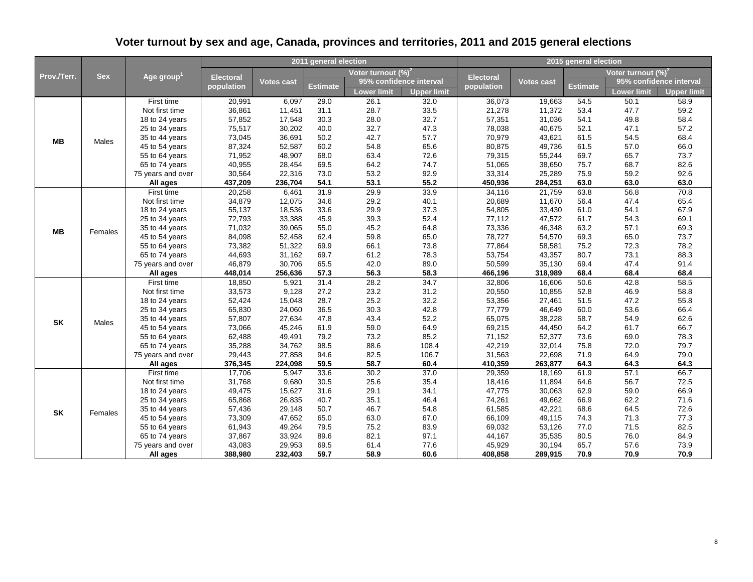| Prov./Terr. |              |                        |                   |                   | 2011 general election |                                                                                                                                                                                                                      |                    |                   |                   | 2015 general election |                         |                    |
|-------------|--------------|------------------------|-------------------|-------------------|-----------------------|----------------------------------------------------------------------------------------------------------------------------------------------------------------------------------------------------------------------|--------------------|-------------------|-------------------|-----------------------|-------------------------|--------------------|
|             | <b>Sex</b>   |                        | <b>Electoral</b>  |                   |                       | Voter turnout $(\%)^2$                                                                                                                                                                                               |                    |                   |                   |                       | Voter turnout $(\%)^2$  |                    |
|             |              | Age group $^{\rm 1}$   |                   | Votes cast        |                       | 95% confidence interval                                                                                                                                                                                              |                    | <b>Electoral</b>  | Votes cast        |                       | 95% confidence interval |                    |
|             |              |                        | population        |                   | Estimate              | Lower limit                                                                                                                                                                                                          | <b>Upper limit</b> | population        |                   | Estimate              | <b>Lower limit</b>      | <b>Upper limit</b> |
|             |              | First time             | 20,991            | 6,097             | 29.0                  | 26.1                                                                                                                                                                                                                 | 32.0               | 36,073            | 19,663            | 54.5                  | 50.1                    | 58.9               |
|             |              | Not first time         | 36,861            | 11,451            | 31.1                  | 28.7                                                                                                                                                                                                                 | 33.5               | 21,278            | 11,372            | 53.4                  | 47.7                    | 59.2               |
|             |              | 18 to 24 years         | 57,852            | 17,548            | 30.3                  | 28.0                                                                                                                                                                                                                 | 32.7               | 57,351            | 31,036            | 54.1                  | 49.8                    | 58.4               |
|             |              | 25 to 34 years         | 75,517            | 30,202            | 40.0                  | 32.7                                                                                                                                                                                                                 | 47.3               | 78,038            | 40,675            | 52.1                  | 47.1                    | 57.2               |
| ΜВ          | Males        | 35 to 44 years         | 73,045            | 36,691            | 50.2                  | 42.7                                                                                                                                                                                                                 | 57.7               | 70,979            | 43,621            | 61.5                  | 54.5                    | 68.4               |
|             |              | 45 to 54 years         | 87,324            | 52,587            | 60.2                  | 54.8                                                                                                                                                                                                                 | 65.6               | 80,875            | 49,736            | 61.5                  | 57.0                    | 66.0               |
|             |              | 55 to 64 years         | 71,952            | 48,907            | 68.0                  | 63.4                                                                                                                                                                                                                 | 72.6               | 79,315            | 55,244            | 69.7                  | 65.7                    | 73.7               |
|             |              | 65 to 74 years         | 40,955            | 28,454            | 69.5                  | 64.2                                                                                                                                                                                                                 | 74.7               | 51,065            | 38,650            | 75.7                  | 68.7                    | 82.6               |
|             |              | 75 years and over      | 30,564            | 22,316            | 73.0                  | 53.2                                                                                                                                                                                                                 | 92.9               | 33,314            | 25,289            | 75.9                  | 59.2                    | 92.6               |
|             |              | All ages               | 437,209           | 236,704           | 54.1                  | 53.1                                                                                                                                                                                                                 | 55.2               | 450,936           | 284,251           | 63.0                  | 63.0                    | 63.0               |
|             |              | First time             | 20,258            | 6,461             | 31.9                  | 29.9                                                                                                                                                                                                                 | 33.9               | 34,116            | 21,759            | 63.8                  | 56.8                    | 70.8               |
|             |              | Not first time         | 34,879            | 12,075            | 34.6                  | 29.2                                                                                                                                                                                                                 | 40.1               | 20,689            | 11,670            | 56.4                  | 47.4                    | 65.4               |
|             |              | 18 to 24 years         | 55,137            | 18,536            | 33.6                  |                                                                                                                                                                                                                      |                    |                   |                   | 61.0                  | 54.1                    | 67.9               |
| <b>MB</b>   |              | 25 to 34 years         | 72,793            | 33,388            | 45.9                  | 29.9<br>37.3<br>54,805<br>33,430<br>39.3<br>52.4<br>77,112<br>47,572<br>45.2<br>64.8<br>73,336<br>46,348<br>59.8<br>65.0<br>78,727<br>54,570<br>73.8<br>66.1<br>77,864<br>58,581<br>61.2<br>78.3<br>53,754<br>43,357 | 61.7               | 54.3              | 69.1              |                       |                         |                    |
|             |              | 35 to 44 years         | 71,032            | 39,065            | 55.0                  |                                                                                                                                                                                                                      |                    |                   |                   | 63.2                  | 57.1                    | 69.3               |
|             | Females      | 45 to 54 years         | 84,098            | 52,458            | 62.4                  |                                                                                                                                                                                                                      |                    |                   |                   | 69.3                  | 65.0                    | 73.7               |
|             |              | 55 to 64 years         | 73,382            | 51,322            | 69.9                  |                                                                                                                                                                                                                      |                    |                   |                   | 75.2                  | 72.3                    | 78.2               |
|             |              | 65 to 74 years         | 44,693            | 31,162            | 69.7                  |                                                                                                                                                                                                                      |                    |                   |                   | 80.7                  | 73.1                    | 88.3               |
|             |              | 75 years and over      | 46,879            | 30,706            | 65.5                  | 42.0                                                                                                                                                                                                                 | 89.0               | 50,599            | 35,130            | 69.4                  | 47.4                    | 91.4               |
|             |              | All ages               | 448,014           | 256,636           | 57.3                  | 56.3                                                                                                                                                                                                                 | 58.3               | 466,196           | 318,989           | 68.4                  | 68.4                    | 68.4               |
|             |              | First time             | 18,850            | 5,921             | 31.4                  | 28.2                                                                                                                                                                                                                 | 34.7               | 32,806            | 16,606            | 50.6                  | 42.8                    | 58.5               |
|             |              | Not first time         | 33,573            | 9,128             | 27.2                  | 23.2                                                                                                                                                                                                                 | 31.2               | 20,550            | 10,855            | 52.8                  | 46.9                    | 58.8               |
|             |              | 18 to 24 years         | 52,424            | 15,048            | 28.7                  | 25.2                                                                                                                                                                                                                 | 32.2               | 53,356            | 27,461            | 51.5                  | 47.2                    | 55.8               |
|             |              | 25 to 34 years         | 65,830            | 24,060            | 36.5                  | 30.3                                                                                                                                                                                                                 | 42.8               | 77,779            | 46,649            | 60.0                  | 53.6                    | 66.4               |
| <b>SK</b>   | <b>Males</b> | 35 to 44 years         | 57,807            | 27,634            | 47.8                  | 43.4                                                                                                                                                                                                                 | 52.2               | 65,075            | 38,228            | 58.7                  | 54.9                    | 62.6               |
|             |              | 45 to 54 years         | 73,066            | 45,246            | 61.9                  | 59.0                                                                                                                                                                                                                 | 64.9               | 69,215            | 44,450            | 64.2                  | 61.7                    | 66.7               |
|             |              | 55 to 64 years         | 62,488            | 49,491            | 79.2                  | 73.2                                                                                                                                                                                                                 | 85.2               | 71,152            | 52,377            | 73.6                  | 69.0                    | 78.3               |
|             |              | 65 to 74 years         | 35,288            | 34,762            | 98.5                  | 88.6                                                                                                                                                                                                                 | 108.4              | 42,219            | 32,014            | 75.8                  | 72.0                    | 79.7               |
|             |              | 75 years and over      | 29,443            | 27,858<br>224,098 | 94.6<br>59.5          | 82.5<br>58.7                                                                                                                                                                                                         | 106.7<br>60.4      | 31,563<br>410,359 | 22,698<br>263,877 | 71.9<br>64.3          | 64.9<br>64.3            | 79.0<br>64.3       |
|             |              | All ages<br>First time | 376,345<br>17,706 |                   |                       | 30.2                                                                                                                                                                                                                 |                    |                   | 18,169            | 61.9                  | 57.1                    | 66.7               |
|             |              | Not first time         | 31,768            | 5,947<br>9,680    | 33.6<br>30.5          | 25.6                                                                                                                                                                                                                 | 37.0<br>35.4       | 29,359<br>18,416  | 11,894            | 64.6                  | 56.7                    | 72.5               |
|             |              | 18 to 24 years         | 49,475            | 15,627            | 31.6                  | 29.1                                                                                                                                                                                                                 | 34.1               | 47,775            | 30,063            | 62.9                  | 59.0                    | 66.9               |
|             |              | 25 to 34 years         | 65,868            | 26,835            | 40.7                  | 35.1                                                                                                                                                                                                                 | 46.4               | 74,261            | 49,662            | 66.9                  | 62.2                    | 71.6               |
|             |              | 35 to 44 years         | 57,436            | 29,148            | 50.7                  | 46.7                                                                                                                                                                                                                 | 54.8               | 61,585            | 42,221            | 68.6                  | 64.5                    | 72.6               |
| <b>SK</b>   | Females      | 45 to 54 years         | 73,309            | 47,652            | 65.0                  | 63.0                                                                                                                                                                                                                 | 67.0               | 66,109            | 49,115            | 74.3                  | 71.3                    | 77.3               |
|             |              | 55 to 64 years         | 61,943            | 49,264            | 79.5                  | 75.2                                                                                                                                                                                                                 | 83.9               | 69,032            | 53,126            | 77.0                  | 71.5                    | 82.5               |
|             |              | 65 to 74 years         | 37,867            | 33,924            | 89.6                  | 82.1                                                                                                                                                                                                                 | 97.1               | 44,167            | 35,535            | 80.5                  | 76.0                    | 84.9               |
|             |              | 75 years and over      | 43,083            | 29,953            | 69.5                  | 61.4                                                                                                                                                                                                                 | 77.6               | 45,929            | 30,194            | 65.7                  | 57.6                    | 73.9               |
|             |              | All ages               | 388,980           | 232,403           | 59.7                  | 58.9                                                                                                                                                                                                                 | 60.6               | 408,858           | 289,915           | 70.9                  | 70.9                    | 70.9               |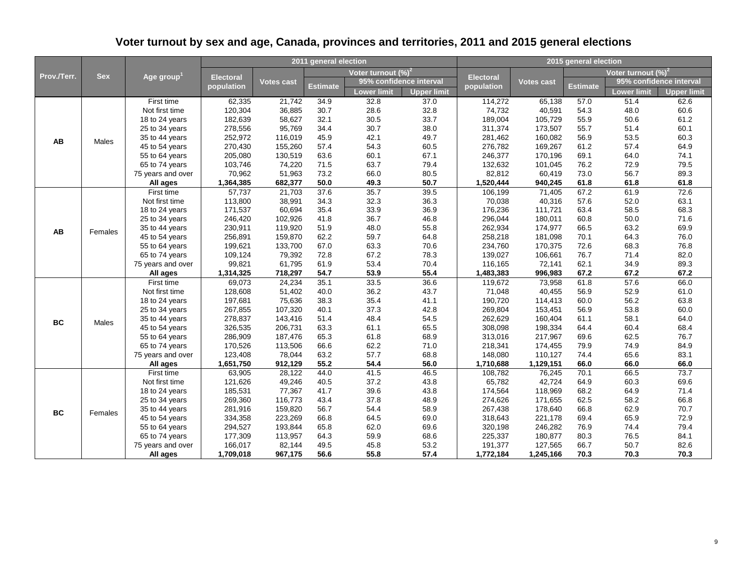| Prov./Terr. |                  |                        |                  |            | 2011 general election |                        |                         | 2015 general election                                                                                                                                                                                                                                                                                                                                             |            |          |                         |                    |
|-------------|------------------|------------------------|------------------|------------|-----------------------|------------------------|-------------------------|-------------------------------------------------------------------------------------------------------------------------------------------------------------------------------------------------------------------------------------------------------------------------------------------------------------------------------------------------------------------|------------|----------|-------------------------|--------------------|
|             | <b>Sex</b>       | Age group <sup>1</sup> |                  |            |                       | Voter turnout $(\%)^2$ |                         |                                                                                                                                                                                                                                                                                                                                                                   |            |          | Voter turnout $(\%)^2$  |                    |
|             |                  |                        | <b>Electoral</b> | Votes cast | <b>Estimate</b>       |                        | 95% confidence interval | <b>Electoral</b><br>population                                                                                                                                                                                                                                                                                                                                    | Votes cast | Estimate | 95% confidence interval |                    |
|             |                  |                        | population       |            |                       | Lower limit            | <b>Upper limit</b>      |                                                                                                                                                                                                                                                                                                                                                                   |            |          | <b>Lower limit</b>      | <b>Upper limit</b> |
|             |                  | First time             | 62,335           | 21,742     | 34.9                  | 32.8                   | 37.0                    | 114,272                                                                                                                                                                                                                                                                                                                                                           | 65,138     | 57.0     | 51.4                    | 62.6               |
|             |                  | Not first time         | 120,304          | 36,885     | 30.7                  | 28.6                   | 32.8                    | 74,732                                                                                                                                                                                                                                                                                                                                                            | 40,591     | 54.3     | 48.0                    | 60.6               |
|             | Males<br>Females | 18 to 24 years         | 182,639          | 58,627     | 32.1                  | 30.5                   | 33.7                    | 189,004                                                                                                                                                                                                                                                                                                                                                           | 105,729    | 55.9     | 50.6                    | 61.2               |
|             |                  | 25 to 34 years         | 278,556          | 95,769     | 34.4                  | 30.7                   | 38.0                    | 311,374                                                                                                                                                                                                                                                                                                                                                           | 173,507    | 55.7     | 51.4                    | 60.1               |
| AB          |                  | 35 to 44 years         | 252,972          | 116,019    | 45.9                  | 42.1                   | 49.7                    | 281,462                                                                                                                                                                                                                                                                                                                                                           | 160,082    | 56.9     | 53.5                    | 60.3               |
|             |                  | 45 to 54 years         | 270,430          | 155,260    | 57.4                  | 54.3                   | 60.5                    | 276,782                                                                                                                                                                                                                                                                                                                                                           | 169,267    | 61.2     | 57.4                    | 64.9               |
|             |                  | 55 to 64 years         | 205,080          | 130,519    | 63.6                  | 60.1                   | 67.1                    | 246,377                                                                                                                                                                                                                                                                                                                                                           | 170,196    | 69.1     | 64.0                    | 74.1               |
|             |                  | 65 to 74 years         | 103,746          | 74,220     | 71.5                  | 63.7                   | 79.4                    | 132,632                                                                                                                                                                                                                                                                                                                                                           | 101,045    | 76.2     | 72.9                    | 79.5               |
|             |                  | 75 years and over      | 70,962           | 51,963     | 73.2                  | 66.0                   | 80.5                    | 82,812                                                                                                                                                                                                                                                                                                                                                            | 60,419     | 73.0     | 56.7                    | 89.3               |
|             |                  | All ages               | 1,364,385        | 682,377    | 50.0                  | 49.3                   | 50.7                    | 1,520,444                                                                                                                                                                                                                                                                                                                                                         | 940,245    | 61.8     | 61.8                    | 61.8               |
|             |                  | First time             | 57,737           | 21,703     | 37.6                  | 35.7                   | 39.5                    | 106,199                                                                                                                                                                                                                                                                                                                                                           | 71,405     |          |                         | 72.6               |
|             |                  | Not first time         | 113,800          | 38,991     | 34.3                  | 32.3                   | 36.3                    |                                                                                                                                                                                                                                                                                                                                                                   |            |          |                         | 63.1               |
|             |                  | 18 to 24 years         | 171,537          | 60,694     | 35.4                  | 33.9                   | 36.9                    |                                                                                                                                                                                                                                                                                                                                                                   |            |          |                         | 68.3               |
|             |                  | 25 to 34 years         | 246,420          | 102,926    | 41.8                  | 36.7                   | 46.8                    | 67.2<br>61.9<br>57.6<br>52.0<br>70,038<br>40,316<br>176,236<br>63.4<br>111,721<br>58.5<br>296,044<br>180,011<br>50.0<br>60.8<br>66.5<br>63.2<br>262,934<br>174,977<br>70.1<br>64.3<br>258,218<br>181,098<br>234,760<br>170,375<br>72.6<br>68.3<br>76.7<br>139,027<br>106,661<br>71.4<br>62.1<br>116,165<br>72,141<br>34.9<br>1,483,383<br>996,983<br>67.2<br>67.2 |            | 71.6     |                         |                    |
| AB          |                  | 35 to 44 years         | 230,911          | 119,920    | 51.9                  | 48.0                   | 55.8                    |                                                                                                                                                                                                                                                                                                                                                                   |            |          |                         | 69.9               |
|             |                  | 45 to 54 years         | 256,891          | 159,870    | 62.2                  | 59.7                   | 64.8                    |                                                                                                                                                                                                                                                                                                                                                                   |            |          |                         | 76.0               |
|             |                  | 55 to 64 years         | 199,621          | 133,700    | 67.0                  | 63.3                   | 70.6                    |                                                                                                                                                                                                                                                                                                                                                                   |            |          |                         | 76.8               |
|             |                  | 65 to 74 years         | 109,124          | 79,392     | 72.8                  | 67.2                   | 78.3                    |                                                                                                                                                                                                                                                                                                                                                                   |            |          |                         | 82.0               |
|             |                  | 75 years and over      | 99,821           | 61,795     | 61.9                  | 53.4                   | 70.4                    |                                                                                                                                                                                                                                                                                                                                                                   |            |          |                         | 89.3               |
|             |                  | All ages               | 1,314,325        | 718,297    | 54.7                  | 53.9                   | 55.4                    |                                                                                                                                                                                                                                                                                                                                                                   |            |          |                         | 67.2               |
|             |                  | First time             | 69,073           | 24,234     | 35.1                  | 33.5                   | 36.6                    | 119,672                                                                                                                                                                                                                                                                                                                                                           | 73,958     | 61.8     | 57.6                    | 66.0               |
|             |                  | Not first time         | 128,608          | 51,402     | 40.0                  | 36.2                   | 43.7                    | 71,048                                                                                                                                                                                                                                                                                                                                                            | 40,455     | 56.9     | 52.9                    | 61.0               |
|             |                  | 18 to 24 years         | 197,681          | 75,636     | 38.3                  | 35.4                   | 41.1                    | 190,720                                                                                                                                                                                                                                                                                                                                                           | 114,413    | 60.0     | 56.2                    | 63.8               |
|             |                  | 25 to 34 years         | 267,855          | 107,320    | 40.1                  | 37.3                   | 42.8                    | 269,804                                                                                                                                                                                                                                                                                                                                                           | 153,451    | 56.9     | 53.8                    | 60.0               |
| <b>BC</b>   |                  | 35 to 44 years         | 278,837          | 143,416    | 51.4                  | 48.4                   | 54.5                    | 262,629                                                                                                                                                                                                                                                                                                                                                           | 160,404    | 61.1     | 58.1                    | 64.0               |
|             |                  | 45 to 54 years         | 326,535          | 206,731    | 63.3                  | 61.1                   | 65.5                    | 308,098                                                                                                                                                                                                                                                                                                                                                           | 198,334    | 64.4     | 60.4                    | 68.4               |
|             |                  | 55 to 64 years         | 286,909          | 187,476    | 65.3                  | 61.8                   | 68.9                    | 313,016                                                                                                                                                                                                                                                                                                                                                           | 217,967    | 69.6     | 62.5                    | 76.7               |
|             |                  | 65 to 74 years         | 170,526          | 113,506    | 66.6                  | 62.2                   | 71.0                    | 218,341                                                                                                                                                                                                                                                                                                                                                           | 174,455    | 79.9     | 74.9                    | 84.9               |
|             |                  | 75 years and over      | 123,408          | 78,044     | 63.2                  | 57.7                   | 68.8                    | 148,080                                                                                                                                                                                                                                                                                                                                                           | 110,127    | 74.4     | 65.6                    | 83.1               |
|             |                  | All ages               | 1,651,750        | 912,129    | 55.2                  | 54.4                   | 56.0                    | 1,710,688                                                                                                                                                                                                                                                                                                                                                         | 1,129,151  | 66.0     | 66.0                    | 66.0               |
|             |                  | First time             | 63,905           | 28,122     | 44.0                  | 41.5                   | 46.5                    | 108,782                                                                                                                                                                                                                                                                                                                                                           | 76,245     | 70.1     | 66.5                    | 73.7               |
|             |                  | Not first time         | 121,626          | 49,246     | 40.5                  | 37.2                   | 43.8                    | 65,782                                                                                                                                                                                                                                                                                                                                                            | 42,724     | 64.9     | 60.3                    | 69.6               |
|             |                  | 18 to 24 years         | 185,531          | 77,367     | 41.7                  | 39.6                   | 43.8                    | 174,564                                                                                                                                                                                                                                                                                                                                                           | 118,969    | 68.2     | 64.9                    | 71.4               |
|             |                  | 25 to 34 years         | 269,360          | 116,773    | 43.4                  | 37.8                   | 48.9                    | 274,626                                                                                                                                                                                                                                                                                                                                                           | 171,655    | 62.5     | 58.2                    | 66.8               |
| <b>BC</b>   | Females          | 35 to 44 years         | 281,916          | 159,820    | 56.7                  | 54.4                   | 58.9                    | 267,438                                                                                                                                                                                                                                                                                                                                                           | 178,640    | 66.8     | 62.9                    | 70.7               |
|             |                  | 45 to 54 years         | 334,358          | 223,269    | 66.8                  | 64.5                   | 69.0                    | 318,643                                                                                                                                                                                                                                                                                                                                                           | 221,178    | 69.4     | 65.9                    | 72.9               |
|             |                  | 55 to 64 years         | 294,527          | 193,844    | 65.8                  | 62.0                   | 69.6                    | 320,198                                                                                                                                                                                                                                                                                                                                                           | 246,282    | 76.9     | 74.4                    | 79.4               |
|             |                  | 65 to 74 years         | 177,309          | 113,957    | 64.3                  | 59.9                   | 68.6                    | 225,337                                                                                                                                                                                                                                                                                                                                                           | 180,877    | 80.3     | 76.5                    | 84.1               |
|             | Males            | 75 years and over      | 166,017          | 82,144     | 49.5                  | 45.8                   | 53.2                    | 191,377                                                                                                                                                                                                                                                                                                                                                           | 127,565    | 66.7     | 50.7                    | 82.6               |
|             |                  | All ages               | 1,709,018        | 967,175    | 56.6                  | 55.8                   | 57.4                    | 1,772,184                                                                                                                                                                                                                                                                                                                                                         | 1,245,166  | 70.3     | 70.3                    | 70.3               |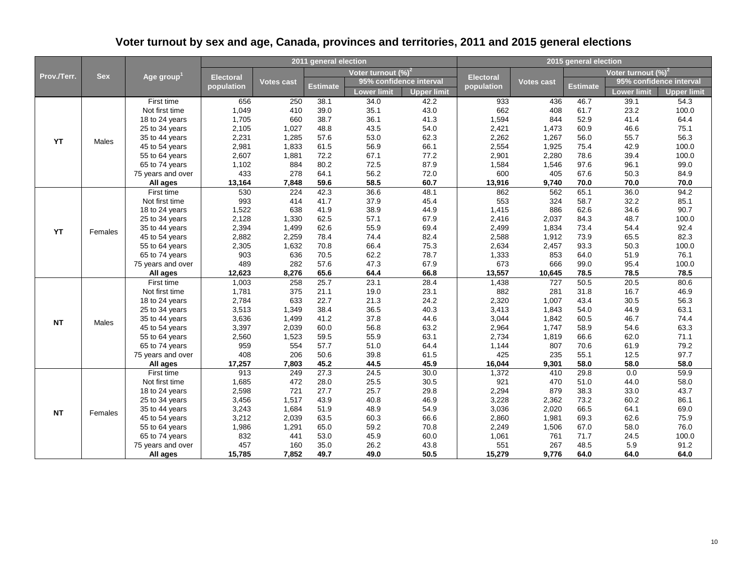| Prov./Terr. |            |                        |                  |                   | 2011 general election |                        |                         | 2015 general election |            |          |                         |                    |
|-------------|------------|------------------------|------------------|-------------------|-----------------------|------------------------|-------------------------|-----------------------|------------|----------|-------------------------|--------------------|
|             | <b>Sex</b> |                        |                  |                   |                       | Voter turnout $(\%)^2$ |                         |                       |            |          | Voter turnout $(\%)^2$  |                    |
|             |            | Age group <sup>1</sup> | <b>Electoral</b> | <b>Votes cast</b> |                       |                        | 95% confidence interval | <b>Electoral</b>      | Votes cast |          | 95% confidence interval |                    |
|             |            |                        | population       |                   | Estimate              | Lower limit            | <b>Upper limit</b>      | population            |            | Estimate | Lower limit             | <b>Upper limit</b> |
|             |            | First time             | 656              | 250               | 38.1                  | 34.0                   | 42.2                    | 933                   | 436        | 46.7     | 39.1                    | 54.3               |
|             |            | Not first time         | 1,049            | 410               | 39.0                  | 35.1                   | 43.0                    | 662                   | 408        | 61.7     | 23.2                    | 100.0              |
|             |            | 18 to 24 years         | 1,705            | 660               | 38.7                  | 36.1                   | 41.3                    | 1,594                 | 844        | 52.9     | 41.4                    | 64.4               |
|             |            | 25 to 34 years         | 2,105            | 1,027             | 48.8                  | 43.5                   | 54.0                    | 2,421                 | 1,473      | 60.9     | 46.6                    | 75.1               |
| YT          | Males      | 35 to 44 years         | 2,231            | 1,285             | 57.6                  | 53.0                   | 62.3                    | 2,262                 | 1,267      | 56.0     | 55.7                    | 56.3               |
|             |            | 45 to 54 years         | 2,981            | 1,833             | 61.5                  | 56.9                   | 66.1                    | 2,554                 | 1,925      | 75.4     | 42.9                    | 100.0              |
|             |            | 55 to 64 years         | 2,607            | 1,881             | 72.2                  | 67.1                   | 77.2                    | 2,901                 | 2,280      | 78.6     | 39.4                    | 100.0              |
|             |            | 65 to 74 years         | 1,102            | 884               | 80.2                  | 72.5                   | 87.9                    | 1,584                 | 1,546      | 97.6     | 96.1                    | 99.0               |
|             |            | 75 years and over      | 433              | 278               | 64.1                  | 56.2                   | 72.0                    | 600                   | 405        | 67.6     | 50.3                    | 84.9               |
|             |            | All ages               | 13,164           | 7,848             | 59.6                  | 58.5                   | 60.7                    | 13,916                | 9,740      | 70.0     | 70.0                    | 70.0               |
|             |            | First time             | 530              | 224               | 42.3                  | 36.6                   | 48.1                    | 862                   | 562        | 65.1     | 36.0                    | 94.2               |
|             |            | Not first time         | 993              | 414               | 41.7                  | 37.9                   | 45.4                    | 553                   | 324        | 58.7     | 32.2                    | 85.1               |
|             |            | 18 to 24 years         | 1,522            | 638               | 41.9                  | 38.9                   | 44.9                    | 1,415                 | 886        | 62.6     | 34.6                    | 90.7               |
|             | Females    | 25 to 34 years         | 2,128            | 1,330             | 62.5                  | 57.1                   | 67.9                    | 2,416                 | 2,037      | 84.3     | 48.7                    | 100.0              |
| <b>YT</b>   |            | 35 to 44 years         | 2,394            | 1,499             | 62.6                  | 55.9                   | 69.4                    | 2,499                 | 1,834      | 73.4     | 54.4                    | 92.4               |
|             |            | 45 to 54 years         | 2,882            | 2,259             | 78.4                  | 74.4                   | 82.4                    | 2,588                 | 1,912      | 73.9     | 65.5                    | 82.3               |
|             |            | 55 to 64 years         | 2,305            | 1,632             | 70.8                  | 66.4                   | 75.3                    | 2,634                 | 2,457      | 93.3     | 50.3                    | 100.0              |
|             |            | 65 to 74 years         | 903              | 636               | 70.5                  | 62.2                   | 78.7                    | 1,333                 | 853        | 64.0     | 51.9                    | 76.1               |
|             |            | 75 years and over      | 489              | 282               | 57.6                  | 47.3                   | 67.9                    | 673                   | 666        | 99.0     | 95.4                    | 100.0              |
|             |            | All ages               | 12,623           | 8,276             | 65.6                  | 64.4                   | 66.8                    | 13,557                | 10,645     | 78.5     | 78.5                    | 78.5               |
|             |            | First time             | 1,003            | 258               | 25.7                  | 23.1                   | 28.4                    | 1,438                 | 727        | 50.5     | 20.5                    | 80.6               |
|             |            | Not first time         | 1,781            | 375               | 21.1                  | 19.0                   | 23.1                    | 882                   | 281        | 31.8     | 16.7                    | 46.9               |
|             |            | 18 to 24 years         | 2,784            | 633               | 22.7                  | 21.3                   | 24.2                    | 2,320                 | 1,007      | 43.4     | 30.5                    | 56.3               |
|             |            | 25 to 34 years         | 3,513            | 1,349             | 38.4                  | 36.5                   | 40.3                    | 3,413                 | 1,843      | 54.0     | 44.9                    | 63.1               |
| <b>NT</b>   | Males      | 35 to 44 years         | 3,636            | 1,499             | 41.2                  | 37.8                   | 44.6                    | 3,044                 | 1,842      | 60.5     | 46.7                    | 74.4               |
|             |            | 45 to 54 years         | 3,397            | 2,039             | 60.0                  | 56.8                   | 63.2                    | 2,964                 | 1,747      | 58.9     | 54.6                    | 63.3               |
|             |            | 55 to 64 years         | 2,560            | 1,523             | 59.5                  | 55.9                   | 63.1                    | 2,734                 | 1,819      | 66.6     | 62.0                    | 71.1               |
|             |            | 65 to 74 years         | 959              | 554               | 57.7                  | 51.0                   | 64.4                    | 1,144                 | 807        | 70.6     | 61.9                    | 79.2               |
|             |            | 75 years and over      | 408              | 206               | 50.6                  | 39.8                   | 61.5                    | 425                   | 235        | 55.1     | 12.5                    | 97.7               |
|             |            | All ages               | 17,257           | 7,803             | 45.2                  | 44.5                   | 45.9                    | 16,044                | 9,301      | 58.0     | 58.0                    | 58.0               |
|             |            | First time             | 913              | 249               | 27.3                  | 24.5                   | 30.0                    | 1,372                 | 410        | 29.8     | 0.0                     | 59.9               |
|             |            | Not first time         | 1,685            | 472               | 28.0                  | 25.5                   | 30.5                    | 921                   | 470        | 51.0     | 44.0                    | 58.0               |
|             |            | 18 to 24 years         | 2,598            | 721               | 27.7                  | 25.7                   | 29.8                    | 2,294                 | 879        | 38.3     | 33.0                    | 43.7               |
|             |            | 25 to 34 years         | 3,456            | 1,517             | 43.9                  | 40.8                   | 46.9                    | 3,228                 | 2,362      | 73.2     | 60.2                    | 86.1               |
| NT          |            | 35 to 44 years         | 3,243            | 1,684             | 51.9                  | 48.9                   | 54.9                    | 3,036                 | 2,020      | 66.5     | 64.1                    | 69.0               |
|             |            | 45 to 54 years         | 3,212            | 2,039             | 63.5                  | 60.3                   | 66.6                    | 2,860                 | 1,981      | 69.3     | 62.6                    | 75.9               |
|             |            | 55 to 64 years         | 1,986            | 1,291             | 65.0                  | 59.2                   | 70.8                    | 2,249                 | 1,506      | 67.0     | 58.0                    | 76.0               |
|             |            | 65 to 74 years         | 832              | 441               | 53.0                  | 45.9                   | 60.0                    | 1,061                 | 761        | 71.7     | 24.5                    | 100.0              |
|             |            | 75 years and over      | 457              | 160               | 35.0                  | 26.2                   | 43.8                    | 551                   | 267        | 48.5     | 5.9                     | 91.2               |
|             | Females    | All ages               | 15,785           | 7,852             | 49.7                  | 49.0                   | 50.5                    | 15,279                | 9,776      | 64.0     | 64.0                    | 64.0               |